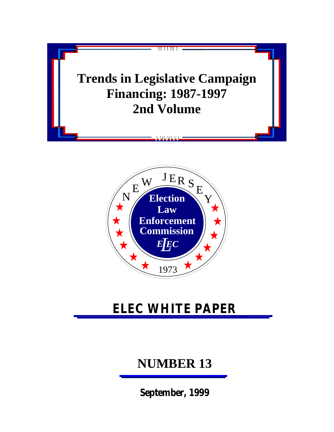



# **ELEC WHITE PAPER**

# **NUMBER 13**

**September, 1999**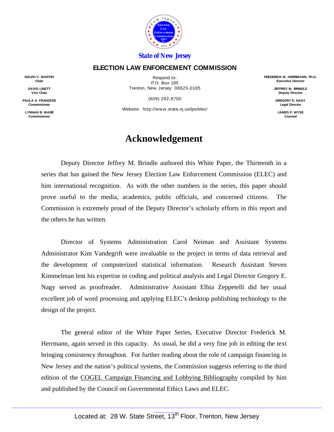

#### *State of New Jersey*

#### **ELECTION LAW ENFORCEMENT COMMISSION**

**RALPH V. MARTIN Chair**

> **DAVID LINETT Vice Chair**

**PAULA A. FRANZESE Commissioner**

**LYNNAN B. WARE Commissioner**

Respond to: P.O. Box 185 Trenton, New Jersey 08625-0185

(609) 292-8700

Website: http://www.state.nj.us/lps/elec/

#### **Acknowledgement**

Deputy Director Jeffrey M. Brindle authored this White Paper, the Thirteenth in a series that has gained the New Jersey Election Law Enforcement Commission (ELEC) and him international recognition. As with the other numbers in the series, this paper should prove useful to the media, academics, public officials, and concerned citizens. The Commission is extremely proud of the Deputy Director's scholarly efforts in this report and the others he has written.

Director of Systems Administration Carol Neiman and Assistant Systems Administrator Kim Vandegrift were invaluable to the project in terms of data retrieval and the development of computerized statistical information. Research Assistant Steven Kimmelman lent his expertise in coding and political analysis and Legal Director Gregory E. Nagy served as proofreader. Administrative Assistant Elbia Zeppetelli did her usual excellent job of word processing and applying ELEC's desktop publishing technology to the design of the project.

The general editor of the White Paper Series, Executive Director Frederick M. Herrmann, again served in this capacity. As usual, he did a very fine job in editing the text bringing consistency throughout. For further reading about the role of campaign financing in New Jersey and the nation's political systems, the Commission suggests referring to the third edition of the COGEL Campaign Financing and Lobbying Bibliography compiled by him and published by the Council on Governmental Ethics Laws and ELEC.

**FREDERICK M. HERRMANN, Ph.D. Executive Director**

> **JEFFREY M. BRINDLE Deputy Director**

**GREGORY E. NAGY Legal Director**

**JAMES P. WYSE Counsel**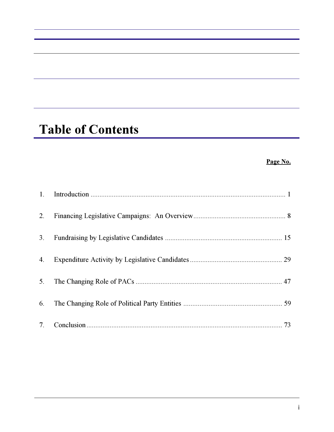# **Table of Contents**

#### **Page No.**

| 1.             |  |
|----------------|--|
| 2.             |  |
| 3.             |  |
| 4.             |  |
| 5 <sub>1</sub> |  |
| 6.             |  |
| 7.             |  |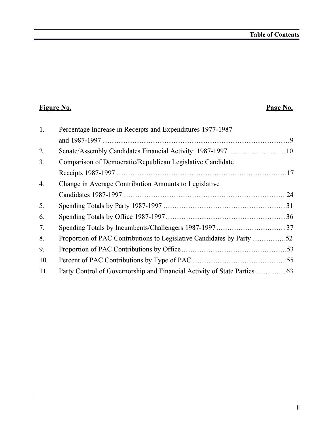### **Figure No. Page No.**

| 1.  | Percentage Increase in Receipts and Expenditures 1977-1987 |  |
|-----|------------------------------------------------------------|--|
|     |                                                            |  |
| 2.  |                                                            |  |
| 3.  | Comparison of Democratic/Republican Legislative Candidate  |  |
|     |                                                            |  |
| 4.  | Change in Average Contribution Amounts to Legislative      |  |
|     |                                                            |  |
| 5.  |                                                            |  |
| 6.  |                                                            |  |
| 7.  |                                                            |  |
| 8.  |                                                            |  |
| 9.  |                                                            |  |
| 10. |                                                            |  |
| 11. |                                                            |  |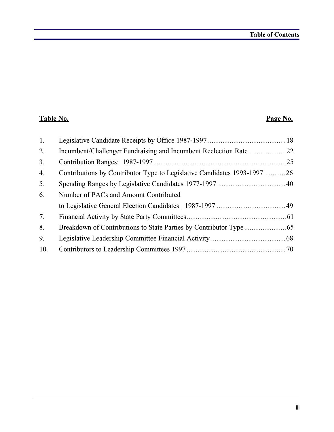### **Table No. Page No.**

| $\mathbf{1}$ . |                                                                          |  |
|----------------|--------------------------------------------------------------------------|--|
| 2.             |                                                                          |  |
| 3.             |                                                                          |  |
| 4.             | Contributions by Contributor Type to Legislative Candidates 1993-1997 26 |  |
| 5 <sub>1</sub> |                                                                          |  |
| 6.             | Number of PACs and Amount Contributed                                    |  |
|                |                                                                          |  |
| 7 <sub>1</sub> |                                                                          |  |
| 8.             |                                                                          |  |
| 9.             |                                                                          |  |
| 10.            |                                                                          |  |
|                |                                                                          |  |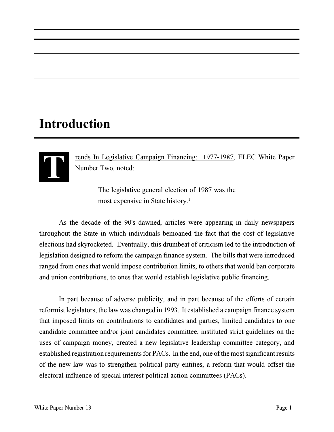# **Introduction**



rends In Legislative Campaign Financing: 1977-1987, ELEC White Paper Number Two, noted:

> The legislative general election of 1987 was the most expensive in State history.<sup>1</sup>

As the decade of the 90's dawned, articles were appearing in daily newspapers throughout the State in which individuals bemoaned the fact that the cost of legislative elections had skyrocketed. Eventually, this drumbeat of criticism led to the introduction of legislation designed to reform the campaign finance system. The bills that were introduced ranged from ones that would impose contribution limits, to others that would ban corporate and union contributions, to ones that would establish legislative public financing.

In part because of adverse publicity, and in part because of the efforts of certain reformist legislators, the law was changed in 1993. It established a campaign finance system that imposed limits on contributions to candidates and parties, limited candidates to one candidate committee and/or joint candidates committee, instituted strict guidelines on the uses of campaign money, created a new legislative leadership committee category, and established registration requirements for PACs. In the end, one of the most significant results of the new law was to strengthen political party entities, a reform that would offset the electoral influence of special interest political action committees (PACs).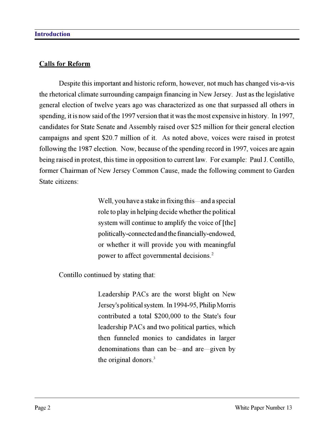#### **Calls for Reform**

Despite this important and historic reform, however, not much has changed vis-a-vis the rhetorical climate surrounding campaign financing in New Jersey. Just as the legislative general election of twelve years ago was characterized as one that surpassed all others in spending, it is now said of the 1997 version that it was the most expensive in history. In 1997, candidates for State Senate and Assembly raised over \$25 million for their general election campaigns and spent \$20.7 million of it. As noted above, voices were raised in protest following the 1987 election. Now, because of the spending record in 1997, voices are again being raised in protest, this time in opposition to current law. For example: Paul J. Contillo, former Chairman of New Jersey Common Cause, made the following comment to Garden State citizens:

> Well, you have a stake in fixing this—and a special role to play in helping decide whether the political system will continue to amplify the voice of [the] politically-connected and the financially-endowed, or whether it will provide you with meaningful power to affect governmental decisions.<sup>2</sup>

Contillo continued by stating that:

Leadership PACs are the worst blight on New Jersey's political system. In 1994-95, Philip Morris contributed a total \$200,000 to the State's four leadership PACs and two political parties, which then funneled monies to candidates in larger denominations than can be—and are—given by the original donors.<sup>3</sup>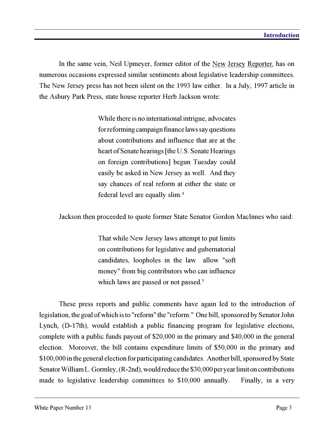In the same vein, Neil Upmeyer, former editor of the New Jersey Reporter, has on numerous occasions expressed similar sentiments about legislative leadership committees. The New Jersey press has not been silent on the 1993 law either. In a July, 1997 article in the Asbury Park Press, state house reporter Herb Jackson wrote:

> While there is no international intrigue, advocates for reforming campaign finance laws say questions about contributions and influence that are at the heart of Senate hearings [the U.S. Senate Hearings on foreign contributions] begun Tuesday could easily be asked in New Jersey as well. And they say chances of real reform at either the state or federal level are equally slim.<sup>4</sup>

Jackson then proceeded to quote former State Senator Gordon MacInnes who said:

That while New Jersey laws attempt to put limits on contributions for legislative and gubernatorial candidates, loopholes in the law allow "soft money" from big contributors who can influence which laws are passed or not passed.<sup>5</sup>

These press reports and public comments have again led to the introduction of legislation, the goal of which is to "reform" the "reform." One bill, sponsored by Senator John Lynch, (D-17th), would establish a public financing program for legislative elections, complete with a public funds payout of \$20,000 in the primary and \$40,000 in the general election. Moreover, the bill contains expenditure limits of \$50,000 in the primary and \$100,000 in the general election for participating candidates. Another bill, sponsored by State Senator William L. Gormley, (R-2nd), would reduce the \$30,000 per year limit on contributions made to legislative leadership committees to \$10,000 annually. Finally, in a very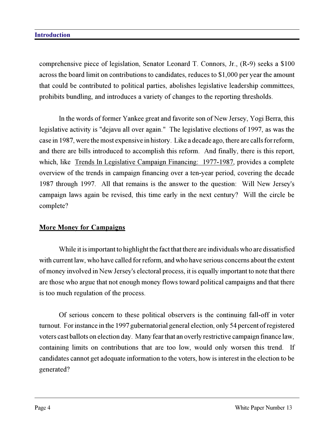#### **Introduction**

comprehensive piece of legislation, Senator Leonard T. Connors, Jr., (R-9) seeks a \$100 across the board limit on contributions to candidates, reduces to \$1,000 per year the amount that could be contributed to political parties, abolishes legislative leadership committees, prohibits bundling, and introduces a variety of changes to the reporting thresholds.

In the words of former Yankee great and favorite son of New Jersey, Yogi Berra, this legislative activity is "dejavu all over again." The legislative elections of 1997, as was the case in 1987, were the most expensive in history. Like a decade ago, there are calls for reform, and there are bills introduced to accomplish this reform. And finally, there is this report, which, like Trends In Legislative Campaign Financing: 1977-1987, provides a complete overview of the trends in campaign financing over a ten-year period, covering the decade 1987 through 1997. All that remains is the answer to the question: Will New Jersey's campaign laws again be revised, this time early in the next century? Will the circle be complete?

#### **More Money for Campaigns**

While it is important to highlight the fact that there are individuals who are dissatisfied with current law, who have called for reform, and who have serious concerns about the extent of money involved in New Jersey's electoral process, it is equally important to note that there are those who argue that not enough money flows toward political campaigns and that there is too much regulation of the process.

Of serious concern to these political observers is the continuing fall-off in voter turnout. For instance in the 1997 gubernatorial general election, only 54 percent of registered voters cast ballots on election day. Many fear that an overly restrictive campaign finance law, containing limits on contributions that are too low, would only worsen this trend. If candidates cannot get adequate information to the voters, how is interest in the election to be generated?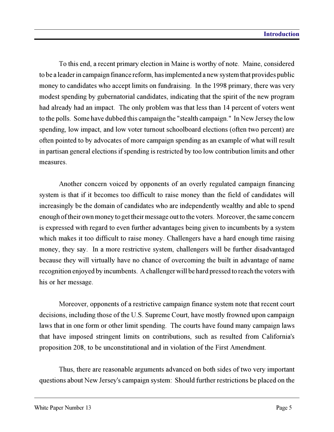To this end, a recent primary election in Maine is worthy of note. Maine, considered to be a leader in campaign finance reform, has implemented a new system that provides public money to candidates who accept limits on fundraising. In the 1998 primary, there was very modest spending by gubernatorial candidates, indicating that the spirit of the new program had already had an impact. The only problem was that less than 14 percent of voters went to the polls. Some have dubbed this campaign the "stealth campaign." In New Jersey the low spending, low impact, and low voter turnout schoolboard elections (often two percent) are often pointed to by advocates of more campaign spending as an example of what will result in partisan general elections if spending is restricted by too low contribution limits and other measures.

Another concern voiced by opponents of an overly regulated campaign financing system is that if it becomes too difficult to raise money than the field of candidates will increasingly be the domain of candidates who are independently wealthy and able to spend enough of their own money to get their message out to the voters. Moreover, the same concern is expressed with regard to even further advantages being given to incumbents by a system which makes it too difficult to raise money. Challengers have a hard enough time raising money, they say. In a more restrictive system, challengers will be further disadvantaged because they will virtually have no chance of overcoming the built in advantage of name recognition enjoyed by incumbents. A challenger will be hard pressed to reach the voters with his or her message.

Moreover, opponents of a restrictive campaign finance system note that recent court decisions, including those of the U.S. Supreme Court, have mostly frowned upon campaign laws that in one form or other limit spending. The courts have found many campaign laws that have imposed stringent limits on contributions, such as resulted from California's proposition 208, to be unconstitutional and in violation of the First Amendment.

Thus, there are reasonable arguments advanced on both sides of two very important questions about New Jersey's campaign system: Should further restrictions be placed on the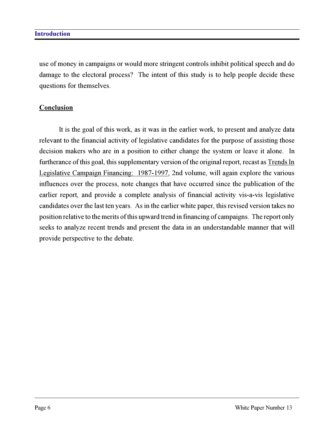use of money in campaigns or would more stringent controls inhibit political speech and do damage to the electoral process? The intent of this study is to help people decide these questions for themselves.

#### **Conclusion**

It is the goal of this work, as it was in the earlier work, to present and analyze data relevant to the financial activity of legislative candidates for the purpose of assisting those decision makers who are in a position to either change the system or leave it alone. In furtherance of this goal, this supplementary version of the original report, recast as Trends In Legislative Campaign Financing: 1987-1997, 2nd volume, will again explore the various influences over the process, note changes that have occurred since the publication of the earlier report, and provide a complete analysis of financial activity vis-a-vis legislative candidates over the last ten years. As in the earlier white paper, this revised version takes no position relative to the merits of this upward trend in financing of campaigns. The report only seeks to analyze recent trends and present the data in an understandable manner that will provide perspective to the debate.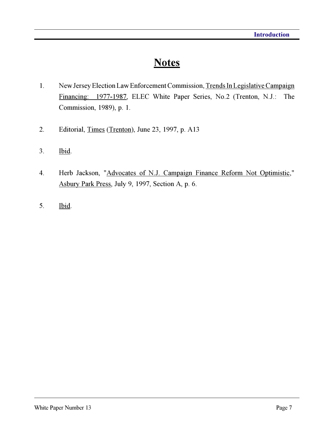### **Notes**

- 1. New Jersey Election Law Enforcement Commission, Trends In Legislative Campaign Financing: 1977-1987, ELEC White Paper Series, No.2 (Trenton, N.J.: The Commission, 1989), p. 1.
- 2. Editorial, Times (Trenton), June 23, 1997, p. A13
- 3. Ibid.
- 4. Herb Jackson, "Advocates of N.J. Campaign Finance Reform Not Optimistic," Asbury Park Press, July 9, 1997, Section A, p. 6.
- 5. Ibid.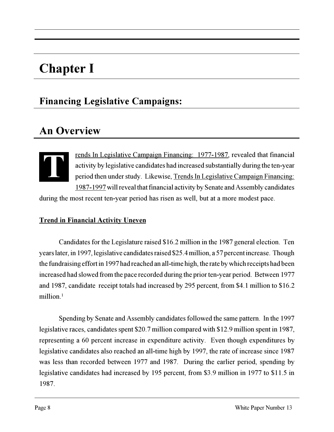# **Chapter I**

### **Financing Legislative Campaigns:**

## **An Overview**

**TERNA TERNA TERNA TERNA TERNA TERNA TERNA TERNA TERNA TERNA TERNA TERNA TERNA TERNA TERNA TERNA TERNA TERNA TERNA TERNA TERNA TERNA TERNA TERNA TERNA TERNA TERNA TERNA TERNA TERNA TERNA TERNA TERNA TERNA TERNA TERNA TERNA** activity by legislative candidates had increased substantially during the ten-year period then under study. Likewise, Trends In Legislative Campaign Financing: 1987-1997 will reveal that financial activity by Senate and Assembly candidates

during the most recent ten-year period has risen as well, but at a more modest pace.

#### **Trend in Financial Activity Uneven**

Candidates for the Legislature raised \$16.2 million in the 1987 general election. Ten years later, in 1997, legislative candidates raised \$25.4 million, a 57 percent increase. Though the fundraising effort in 1997 had reached an all-time high, the rate by which receipts had been increased had slowed from the pace recorded during the prior ten-year period. Between 1977 and 1987, candidate receipt totals had increased by 295 percent, from \$4.1 million to \$16.2 million.<sup>1</sup>

Spending by Senate and Assembly candidates followed the same pattern. In the 1997 legislative races, candidates spent \$20.7 million compared with \$12.9 million spent in 1987, representing a 60 percent increase in expenditure activity. Even though expenditures by legislative candidates also reached an all-time high by 1997, the rate of increase since 1987 was less than recorded between 1977 and 1987. During the earlier period, spending by legislative candidates had increased by 195 percent, from \$3.9 million in 1977 to \$11.5 in 1987.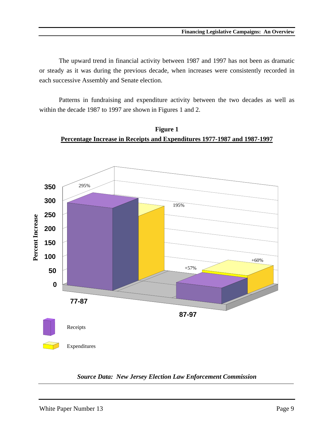The upward trend in financial activity between 1987 and 1997 has not been as dramatic or steady as it was during the previous decade, when increases were consistently recorded in each successive Assembly and Senate election.

Patterns in fundraising and expenditure activity between the two decades as well as within the decade 1987 to 1997 are shown in Figures 1 and 2.



**Figure 1 Percentage Increase in Receipts and Expenditures 1977-1987 and 1987-1997**

*Source Data: New Jersey Election Law Enforcement Commission*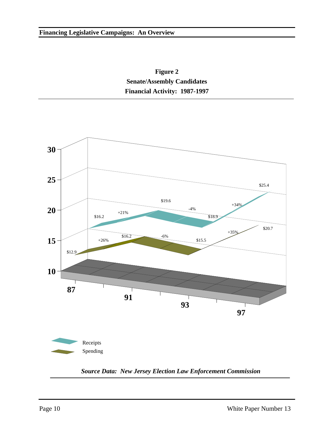



*Source Data: New Jersey Election Law Enforcement Commission*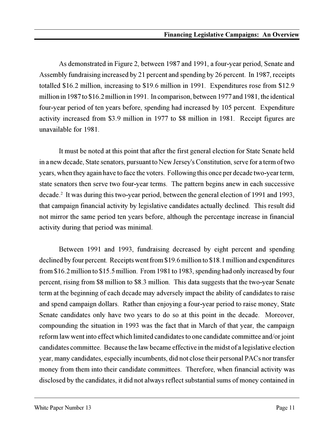As demonstrated in Figure 2, between 1987 and 1991, a four-year period, Senate and Assembly fundraising increased by 21 percent and spending by 26 percent. In 1987, receipts totalled \$16.2 million, increasing to \$19.6 million in 1991. Expenditures rose from \$12.9 million in 1987 to \$16.2 million in 1991. In comparison, between 1977 and 1981, the identical four-year period of ten years before, spending had increased by 105 percent. Expenditure activity increased from \$3.9 million in 1977 to \$8 million in 1981. Receipt figures are unavailable for 1981.

It must be noted at this point that after the first general election for State Senate held in a new decade, State senators, pursuant to New Jersey's Constitution, serve for a term of two years, when they again have to face the voters. Following this once per decade two-year term, state senators then serve two four-year terms. The pattern begins anew in each successive decade.<sup>2</sup> It was during this two-year period, between the general election of 1991 and 1993, that campaign financial activity by legislative candidates actually declined. This result did not mirror the same period ten years before, although the percentage increase in financial activity during that period was minimal.

Between 1991 and 1993, fundraising decreased by eight percent and spending declined by four percent. Receipts went from \$19.6 million to \$18.1 million and expenditures from \$16.2 million to \$15.5 million. From 1981 to 1983, spending had only increased by four percent, rising from \$8 million to \$8.3 million. This data suggests that the two-year Senate term at the beginning of each decade may adversely impact the ability of candidates to raise and spend campaign dollars. Rather than enjoying a four-year period to raise money, State Senate candidates only have two years to do so at this point in the decade. Moreover, compounding the situation in 1993 was the fact that in March of that year, the campaign reform law went into effect which limited candidates to one candidate committee and/or joint candidates committee. Because the law became effective in the midst of a legislative election year, many candidates, especially incumbents, did not close their personal PACs nor transfer money from them into their candidate committees. Therefore, when financial activity was disclosed by the candidates, it did not always reflect substantial sums of money contained in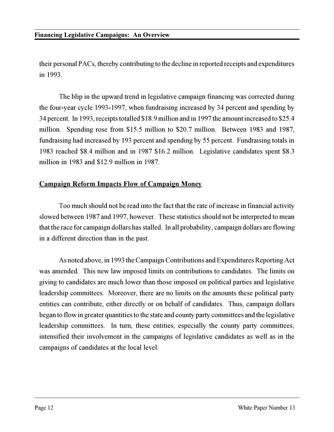their personal PACs, thereby contributing to the decline in reported receipts and expenditures in 1993.

The blip in the upward trend in legislative campaign financing was corrected during the four-year cycle 1993-1997, when fundraising increased by 34 percent and spending by 34 percent. In 1993, receipts totalled \$18.9 million and in 1997 the amount increased to \$25.4 million. Spending rose from \$15.5 million to \$20.7 million. Between 1983 and 1987, fundraising had increased by 193 percent and spending by 55 percent. Fundraising totals in 1983 reached \$8.4 million and in 1987 \$16.2 million. Legislative candidates spent \$8.3 million in 1983 and \$12.9 million in 1987.

#### **Campaign Reform Impacts Flow of Campaign Money**

Too much should not be read into the fact that the rate of increase in financial activity slowed between 1987 and 1997, however. These statistics should not be interpreted to mean that the race for campaign dollars has stalled. In all probability, campaign dollars are flowing in a different direction than in the past.

As noted above, in 1993 the Campaign Contributions and Expenditures Reporting Act was amended. This new law imposed limits on contributions to candidates. The limits on giving to candidates are much lower than those imposed on political parties and legislative leadership committees. Moreover, there are no limits on the amounts these political party entities can contribute, either directly or on behalf of candidates. Thus, campaign dollars began to flow in greater quantities to the state and county party committees and the legislative leadership committees. In turn, these entities, especially the county party committees, intensified their involvement in the campaigns of legislative candidates as well as in the campaigns of candidates at the local level.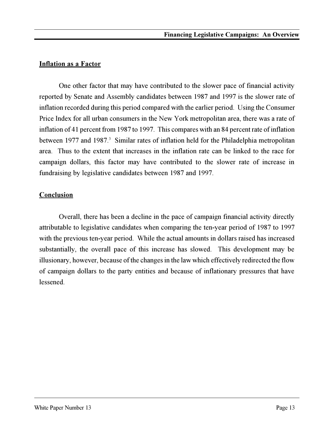#### **Inflation as a Factor**

One other factor that may have contributed to the slower pace of financial activity reported by Senate and Assembly candidates between 1987 and 1997 is the slower rate of inflation recorded during this period compared with the earlier period. Using the Consumer Price Index for all urban consumers in the New York metropolitan area, there was a rate of inflation of 41 percent from 1987 to 1997. This compares with an 84 percent rate of inflation between 1977 and 1987.<sup>3</sup> Similar rates of inflation held for the Philadelphia metropolitan area. Thus to the extent that increases in the inflation rate can be linked to the race for campaign dollars, this factor may have contributed to the slower rate of increase in fundraising by legislative candidates between 1987 and 1997.

#### **Conclusion**

Overall, there has been a decline in the pace of campaign financial activity directly attributable to legislative candidates when comparing the ten-year period of 1987 to 1997 with the previous ten-year period. While the actual amounts in dollars raised has increased substantially, the overall pace of this increase has slowed. This development may be illusionary, however, because of the changes in the law which effectively redirected the flow of campaign dollars to the party entities and because of inflationary pressures that have lessened.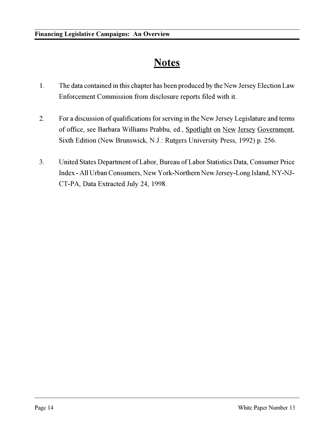## **Notes**

- 1. The data contained in this chapter has been produced by the New Jersey Election Law Enforcement Commission from disclosure reports filed with it.
- 2. For a discussion of qualifications for serving in the New Jersey Legislature and terms of office, see Barbara Williams Prabbu, ed., Spotlight on New Jersey Government, Sixth Edition (New Brunswick, N.J.: Rutgers University Press, 1992) p. 256.
- 3. United States Department of Labor, Bureau of Labor Statistics Data, Consumer Price Index - All Urban Consumers, New York-Northern New Jersey-Long Island, NY-NJ-CT-PA, Data Extracted July 24, 1998.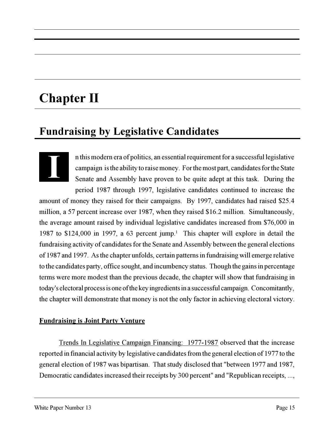# **Chapter II**

### **Fundraising by Legislative Candidates**

n this modern era of politics, an essential requirement for a successful legislative campaign is the ability to raise money. For the most part, candidates for the State Senate and Assembly have proven to be quite adept at this task. During the period 1987 through 1997, legislative candidates continued to increase the amount of money they raised for their campaigns. By 1997, candidates had raised \$25.4 million, a 57 percent increase over 1987, when they raised \$16.2 million. Simultaneously, the average amount raised by individual legislative candidates increased from \$76,000 in 1987 to \$124,000 in 1997, a 63 percent jump.<sup>1</sup> This chapter will explore in detail the fundraising activity of candidates for the Senate and Assembly between the general elections of 1987 and 1997. As the chapter unfolds, certain patterns in fundraising will emerge relative to the candidates party, office sought, and incumbency status. Though the gains in percentage terms were more modest than the previous decade, the chapter will show that fundraising in today's electoral process is one of the key ingredients in a successful campaign. Concomitantly, the chapter will demonstrate that money is not the only factor in achieving electoral victory. **I**

#### **Fundraising is Joint Party Venture**

Trends In Legislative Campaign Financing: 1977-1987 observed that the increase reported in financial activity by legislative candidates from the general election of 1977 to the general election of 1987 was bipartisan. That study disclosed that "between 1977 and 1987, Democratic candidates increased their receipts by 300 percent" and "Republican receipts, ...,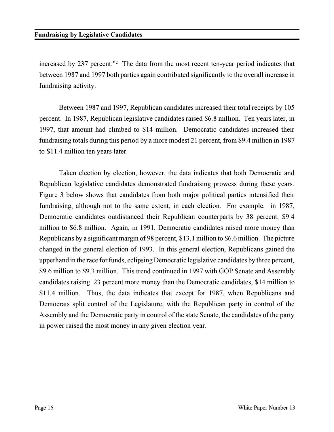increased by 237 percent."<sup>2</sup> The data from the most recent ten-year period indicates that between 1987 and 1997 both parties again contributed significantly to the overall increase in fundraising activity.

Between 1987 and 1997, Republican candidates increased their total receipts by 105 percent. In 1987, Republican legislative candidates raised \$6.8 million. Ten years later, in 1997, that amount had climbed to \$14 million. Democratic candidates increased their fundraising totals during this period by a more modest 21 percent, from \$9.4 million in 1987 to \$11.4 million ten years later.

Taken election by election, however, the data indicates that both Democratic and Republican legislative candidates demonstrated fundraising prowess during these years. Figure 3 below shows that candidates from both major political parties intensified their fundraising, although not to the same extent, in each election. For example, in 1987, Democratic candidates outdistanced their Republican counterparts by 38 percent, \$9.4 million to \$6.8 million. Again, in 1991, Democratic candidates raised more money than Republicans by a significant margin of 98 percent, \$13.1 million to \$6.6 million. The picture changed in the general election of 1993. In this general election, Republicans gained the upperhand in the race for funds, eclipsing Democratic legislative candidates by three percent, \$9.6 million to \$9.3 million. This trend continued in 1997 with GOP Senate and Assembly candidates raising 23 percent more money than the Democratic candidates, \$14 million to \$11.4 million. Thus, the data indicates that except for 1987, when Republicans and Democrats split control of the Legislature, with the Republican party in control of the Assembly and the Democratic party in control of the state Senate, the candidates of the party in power raised the most money in any given election year.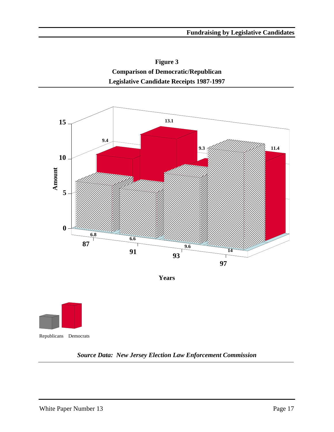**Figure 3 Comparison of Democratic/Republican Legislative Candidate Receipts 1987-1997**



**Years**



#### *Source Data: New Jersey Election Law Enforcement Commission*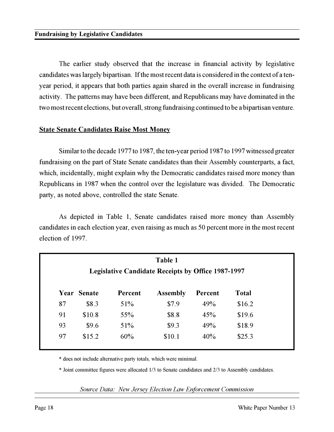The earlier study observed that the increase in financial activity by legislative candidates was largely bipartisan. If the most recent data is considered in the context of a tenyear period, it appears that both parties again shared in the overall increase in fundraising activity. The patterns may have been different, and Republicans may have dominated in the two most recent elections, but overall, strong fundraising continued to be a bipartisan venture.

#### **State Senate Candidates Raise Most Money**

Similar to the decade 1977 to 1987, the ten-year period 1987 to 1997 witnessed greater fundraising on the part of State Senate candidates than their Assembly counterparts, a fact, which, incidentally, might explain why the Democratic candidates raised more money than Republicans in 1987 when the control over the legislature was divided. The Democratic party, as noted above, controlled the state Senate.

As depicted in Table 1, Senate candidates raised more money than Assembly candidates in each election year, even raising as much as 50 percent more in the most recent election of 1997.

| Table 1<br><b>Legislative Candidate Receipts by Office 1987-1997</b> |        |     |        |     |        |  |  |  |
|----------------------------------------------------------------------|--------|-----|--------|-----|--------|--|--|--|
| Year Senate<br><b>Total</b><br><b>Assembly</b><br>Percent<br>Percent |        |     |        |     |        |  |  |  |
| 87                                                                   | \$8.3  | 51% | \$7.9  | 49% | \$16.2 |  |  |  |
| 91                                                                   | \$10.8 | 55% | \$8.8  | 45% | \$19.6 |  |  |  |
| 93                                                                   | \$9.6  | 51% | \$9.3  | 49% | \$18.9 |  |  |  |
| 97                                                                   | \$15.2 | 60% | \$10.1 | 40% | \$25.3 |  |  |  |

\* does not include alternative party totals, which were minimal.

\* Joint committee figures were allocated 1/3 to Senate candidates and 2/3 to Assembly candidates.

*Source Data: New Jersey Election Law Enforcement Commission*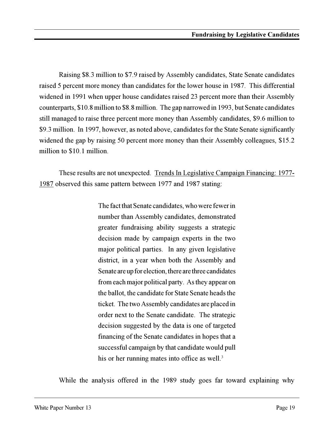Raising \$8.3 million to \$7.9 raised by Assembly candidates, State Senate candidates raised 5 percent more money than candidates for the lower house in 1987. This differential widened in 1991 when upper house candidates raised 23 percent more than their Assembly counterparts, \$10.8 million to \$8.8 million. The gap narrowed in 1993, but Senate candidates still managed to raise three percent more money than Assembly candidates, \$9.6 million to \$9.3 million. In 1997, however, as noted above, candidates for the State Senate significantly widened the gap by raising 50 percent more money than their Assembly colleagues, \$15.2 million to \$10.1 million.

These results are not unexpected. Trends In Legislative Campaign Financing: 1977- 1987 observed this same pattern between 1977 and 1987 stating:

> The fact that Senate candidates, who were fewer in number than Assembly candidates, demonstrated greater fundraising ability suggests a strategic decision made by campaign experts in the two major political parties. In any given legislative district, in a year when both the Assembly and Senate are up for election, there are three candidates from each major political party. As they appear on the ballot, the candidate for State Senate heads the ticket. The two Assembly candidates are placed in order next to the Senate candidate. The strategic decision suggested by the data is one of targeted financing of the Senate candidates in hopes that a successful campaign by that candidate would pull his or her running mates into office as well.<sup>3</sup>

While the analysis offered in the 1989 study goes far toward explaining why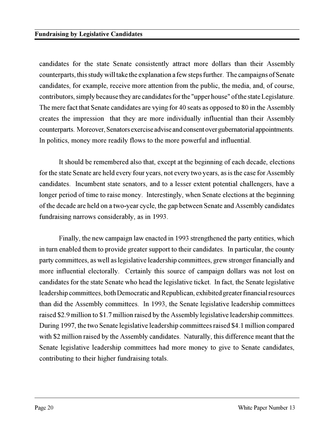candidates for the state Senate consistently attract more dollars than their Assembly counterparts, this study will take the explanation a few steps further. The campaigns of Senate candidates, for example, receive more attention from the public, the media, and, of course, contributors, simply because they are candidates for the "upper house" of the state Legislature. The mere fact that Senate candidates are vying for 40 seats as opposed to 80 in the Assembly creates the impression that they are more individually influential than their Assembly counterparts. Moreover, Senators exercise advise and consent over gubernatorial appointments. In politics, money more readily flows to the more powerful and influential.

It should be remembered also that, except at the beginning of each decade, elections for the state Senate are held every four years, not every two years, as is the case for Assembly candidates. Incumbent state senators, and to a lesser extent potential challengers, have a longer period of time to raise money. Interestingly, when Senate elections at the beginning of the decade are held on a two-year cycle, the gap between Senate and Assembly candidates fundraising narrows considerably, as in 1993.

Finally, the new campaign law enacted in 1993 strengthened the party entities, which in turn enabled them to provide greater support to their candidates. In particular, the county party committees, as well as legislative leadership committees, grew stronger financially and more influential electorally. Certainly this source of campaign dollars was not lost on candidates for the state Senate who head the legislative ticket. In fact, the Senate legislative leadership committees, both Democratic and Republican, exhibited greater financial resources than did the Assembly committees. In 1993, the Senate legislative leadership committees raised \$2.9 million to \$1.7 million raised by the Assembly legislative leadership committees. During 1997, the two Senate legislative leadership committees raised \$4.1 million compared with \$2 million raised by the Assembly candidates. Naturally, this difference meant that the Senate legislative leadership committees had more money to give to Senate candidates, contributing to their higher fundraising totals.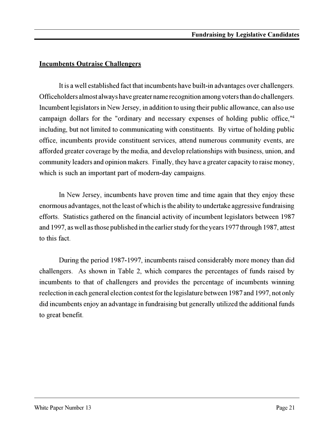#### **Incumbents Outraise Challengers**

It is a well established fact that incumbents have built-in advantages over challengers. Officeholders almost always have greater name recognition among voters than do challengers. Incumbent legislators in New Jersey, in addition to using their public allowance, can also use campaign dollars for the "ordinary and necessary expenses of holding public office,"<sup>4</sup> including, but not limited to communicating with constituents. By virtue of holding public office, incumbents provide constituent services, attend numerous community events, are afforded greater coverage by the media, and develop relationships with business, union, and community leaders and opinion makers. Finally, they have a greater capacity to raise money, which is such an important part of modern-day campaigns.

In New Jersey, incumbents have proven time and time again that they enjoy these enormous advantages, not the least of which is the ability to undertake aggressive fundraising efforts. Statistics gathered on the financial activity of incumbent legislators between 1987 and 1997, as well as those published in the earlier study for the years 1977 through 1987, attest to this fact.

During the period 1987-1997, incumbents raised considerably more money than did challengers. As shown in Table 2, which compares the percentages of funds raised by incumbents to that of challengers and provides the percentage of incumbents winning reelection in each general election contest for the legislature between 1987 and 1997, not only did incumbents enjoy an advantage in fundraising but generally utilized the additional funds to great benefit.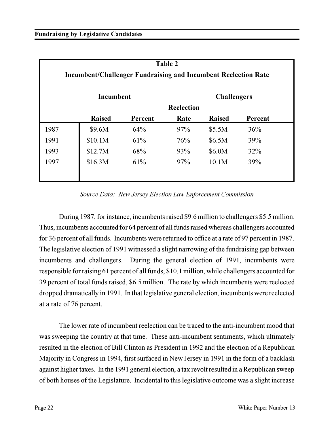| Table 2<br><b>Incumbent/Challenger Fundraising and Incumbent Reelection Rate</b> |               |         |                   |               |         |  |  |  |  |
|----------------------------------------------------------------------------------|---------------|---------|-------------------|---------------|---------|--|--|--|--|
| Incumbent<br><b>Challengers</b>                                                  |               |         |                   |               |         |  |  |  |  |
|                                                                                  |               |         | <b>Reelection</b> |               |         |  |  |  |  |
|                                                                                  | <b>Raised</b> | Percent | Rate              | <b>Raised</b> | Percent |  |  |  |  |
| 1987                                                                             | \$9.6M        | 64%     | 97%               | \$5.5M        | 36%     |  |  |  |  |
| 1991                                                                             | \$10.1M       | 61%     | 76%               | \$6.5M        | 39%     |  |  |  |  |
| 1993                                                                             | \$12.7M       | 68%     | 93%               | \$6.0M        | 32%     |  |  |  |  |
| 1997                                                                             | \$16.3M       | 61%     | 97%               | 10.1M         | 39%     |  |  |  |  |
|                                                                                  |               |         |                   |               |         |  |  |  |  |

*Source Data: New Jersey Election Law Enforcement Commission*

During 1987, for instance, incumbents raised \$9.6 million to challengers \$5.5 million. Thus, incumbents accounted for 64 percent of all funds raised whereas challengers accounted for 36 percent of all funds. Incumbents were returned to office at a rate of 97 percent in 1987. The legislative election of 1991 witnessed a slight narrowing of the fundraising gap between incumbents and challengers. During the general election of 1991, incumbents were responsible for raising 61 percent of all funds, \$10.1 million, while challengers accounted for 39 percent of total funds raised, \$6.5 million. The rate by which incumbents were reelected dropped dramatically in 1991. In that legislative general election, incumbents were reelected at a rate of 76 percent.

The lower rate of incumbent reelection can be traced to the anti-incumbent mood that was sweeping the country at that time. These anti-incumbent sentiments, which ultimately resulted in the election of Bill Clinton as President in 1992 and the election of a Republican Majority in Congress in 1994, first surfaced in New Jersey in 1991 in the form of a backlash against higher taxes. In the 1991 general election, a tax revolt resulted in a Republican sweep of both houses of the Legislature. Incidental to this legislative outcome was a slight increase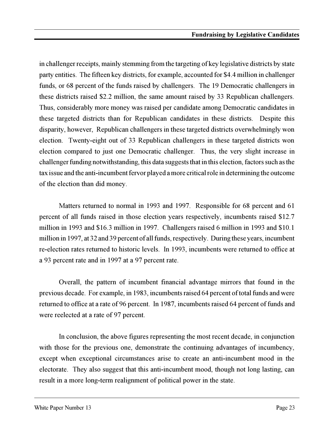in challenger receipts, mainly stemming from the targeting of key legislative districts by state party entities. The fifteen key districts, for example, accounted for \$4.4 million in challenger funds, or 68 percent of the funds raised by challengers. The 19 Democratic challengers in these districts raised \$2.2 million, the same amount raised by 33 Republican challengers. Thus, considerably more money was raised per candidate among Democratic candidates in these targeted districts than for Republican candidates in these districts. Despite this disparity, however, Republican challengers in these targeted districts overwhelmingly won election. Twenty-eight out of 33 Republican challengers in these targeted districts won election compared to just one Democratic challenger. Thus, the very slight increase in challenger funding notwithstanding, this data suggests that in this election, factors such as the tax issue and the anti-incumbent fervor played a more critical role in determining the outcome of the election than did money.

Matters returned to normal in 1993 and 1997. Responsible for 68 percent and 61 percent of all funds raised in those election years respectively, incumbents raised \$12.7 million in 1993 and \$16.3 million in 1997. Challengers raised 6 million in 1993 and \$10.1 million in 1997, at 32 and 39 percent of all funds, respectively. During these years, incumbent re-election rates returned to historic levels. In 1993, incumbents were returned to office at a 93 percent rate and in 1997 at a 97 percent rate.

Overall, the pattern of incumbent financial advantage mirrors that found in the previous decade. For example, in 1983, incumbents raised 64 percent of total funds and were returned to office at a rate of 96 percent. In 1987, incumbents raised 64 percent of funds and were reelected at a rate of 97 percent.

In conclusion, the above figures representing the most recent decade, in conjunction with those for the previous one, demonstrate the continuing advantages of incumbency, except when exceptional circumstances arise to create an anti-incumbent mood in the electorate. They also suggest that this anti-incumbent mood, though not long lasting, can result in a more long-term realignment of political power in the state.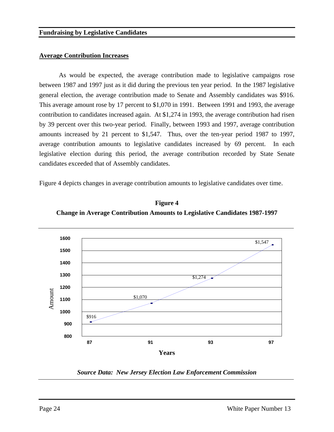#### **Average Contribution Increases**

As would be expected, the average contribution made to legislative campaigns rose between 1987 and 1997 just as it did during the previous ten year period. In the 1987 legislative general election, the average contribution made to Senate and Assembly candidates was \$916. This average amount rose by 17 percent to \$1,070 in 1991. Between 1991 and 1993, the average contribution to candidates increased again. At \$1,274 in 1993, the average contribution had risen by 39 percent over this two-year period. Finally, between 1993 and 1997, average contribution amounts increased by 21 percent to \$1,547. Thus, over the ten-year period 1987 to 1997, average contribution amounts to legislative candidates increased by 69 percent. In each legislative election during this period, the average contribution recorded by State Senate candidates exceeded that of Assembly candidates.

Figure 4 depicts changes in average contribution amounts to legislative candidates over time.



**Figure 4 Change in Average Contribution Amounts to Legislative Candidates 1987-1997**

*Source Data: New Jersey Election Law Enforcement Commission*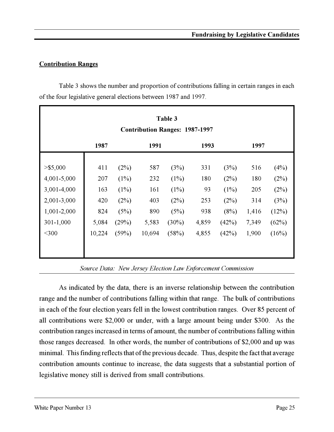#### **Contribution Ranges**

Table 3 shows the number and proportion of contributions falling in certain ranges in each of the four legislative general elections between 1987 and 1997.

| Table 3<br><b>Contribution Ranges: 1987-1997</b> |        |       |        |          |       |         |       |       |  |
|--------------------------------------------------|--------|-------|--------|----------|-------|---------|-------|-------|--|
|                                                  | 1987   | 1991  |        |          | 1993  |         | 1997  |       |  |
| $>$ \$5,000                                      | 411    | (2%)  | 587    | (3%)     | 331   | (3%)    | 516   | (4%)  |  |
| 4,001-5,000                                      | 207    | (1%)  | 232    | $(1\%)$  | 180   | (2%)    | 180   | (2%)  |  |
| 3,001-4,000                                      | 163    | (1%)  | 161    | $(1\%)$  | 93    | $(1\%)$ | 205   | (2%)  |  |
| 2,001-3,000                                      | 420    | (2%)  | 403    | (2%)     | 253   | (2%)    | 314   | (3%)  |  |
| 1,001-2,000                                      | 824    | (5%)  | 890    | (5%)     | 938   | (8%)    | 1,416 | (12%) |  |
| $301 - 1,000$                                    | 5,084  | (29%) | 5,583  | $(30\%)$ | 4,859 | (42%)   | 7,349 | (62%) |  |
| $<$ 300                                          | 10,224 | (59%) | 10,694 | (58%)    | 4,855 | (42%)   | 1,900 | (16%) |  |
|                                                  |        |       |        |          |       |         |       |       |  |

*Source Data: New Jersey Election Law Enforcement Commission*

As indicated by the data, there is an inverse relationship between the contribution range and the number of contributions falling within that range. The bulk of contributions in each of the four election years fell in the lowest contribution ranges. Over 85 percent of all contributions were \$2,000 or under, with a large amount being under \$300. As the contribution ranges increased in terms of amount, the number of contributions falling within those ranges decreased. In other words, the number of contributions of \$2,000 and up was minimal. This finding reflects that of the previous decade. Thus, despite the fact that average contribution amounts continue to increase, the data suggests that a substantial portion of legislative money still is derived from small contributions.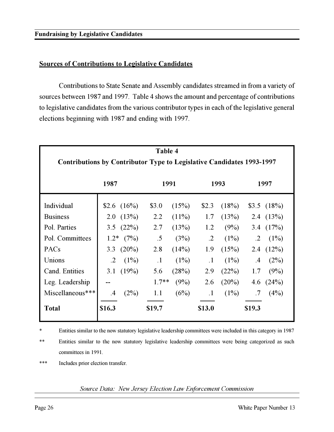#### **Sources of Contributions to Legislative Candidates**

Contributions to State Senate and Assembly candidates streamed in from a variety of sources between 1987 and 1997. Table 4 shows the amount and percentage of contributions to legislative candidates from the various contributor types in each of the legislative general elections beginning with 1987 and ending with 1997.

| Table 4<br>Contributions by Contributor Type to Legislative Candidates 1993-1997 |           |                |           |          |            |          |            |                 |  |
|----------------------------------------------------------------------------------|-----------|----------------|-----------|----------|------------|----------|------------|-----------------|--|
|                                                                                  | 1987      |                | 1991      |          | 1993       |          |            | 1997            |  |
| Individual                                                                       |           | \$2.6 $(16\%)$ | \$3.0     | (15%)    | \$2.3      | (18%)    |            | $$3.5$ $(18\%)$ |  |
| <b>Business</b>                                                                  |           | 2.0(13%)       | 2.2       | $(11\%)$ | 1.7        | (13%)    |            | 2.4 $(13%)$     |  |
| Pol. Parties                                                                     |           | 3.5 $(22%)$    | 2.7       | (13%)    | 1.2        | (9%)     |            | 3.4 $(17%)$     |  |
| Pol. Committees                                                                  |           | $1.2^*$ (7%)   | .5        | (3%)     | $\cdot$ .2 | (1%)     | $\cdot$ .2 | $(1\%)$         |  |
| PACs                                                                             | 3.3       | $(20\%)$       | 2.8       | (14%)    | 1.9        | (15%)    |            | 2.4 $(12\%)$    |  |
| Unions                                                                           | $\cdot$ 2 | $(1\%)$        | $\cdot$ 1 | (1%)     | $\cdot$ 1  | $(1\%)$  | $.4\,$     | (2%)            |  |
| Cand. Entities                                                                   | 3.1       | (19%)          | 5.6       | (28%)    | 2.9        | (22%)    | 1.7        | (9%)            |  |
| Leg. Leadership                                                                  |           |                | $1.7**$   | (9%)     | 2.6        | $(20\%)$ | 4.6        | (24%)           |  |
| Miscellaneous***                                                                 | $\cdot$ 4 | (2%)           | 1.1       | (6%)     | $\cdot$ 1  | $(1\%)$  | .7         | (4%)            |  |
| <b>Total</b>                                                                     | \$16.3    |                | \$19.7    |          | \$13.0     |          | \$19.3     |                 |  |

\* Entities similar to the now statutory legislative leadership committees were included in this category in 1987

\*\* Entities similar to the now statutory legislative leadership committees were being categorized as such committees in 1991.

\*\*\* Includes prior election transfer.

*Source Data: New Jersey Election Law Enforcement Commission*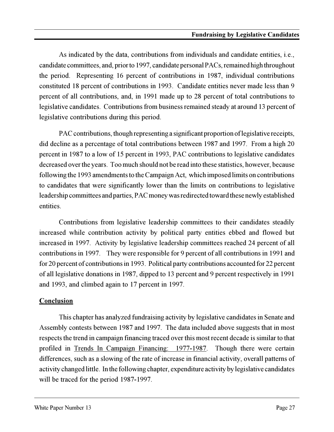As indicated by the data, contributions from individuals and candidate entities, i.e., candidate committees, and, prior to 1997, candidate personal PACs, remained high throughout the period. Representing 16 percent of contributions in 1987, individual contributions constituted 18 percent of contributions in 1993. Candidate entities never made less than 9 percent of all contributions, and, in 1991 made up to 28 percent of total contributions to legislative candidates. Contributions from business remained steady at around 13 percent of legislative contributions during this period.

PAC contributions, though representing a significant proportion of legislative receipts, did decline as a percentage of total contributions between 1987 and 1997. From a high 20 percent in 1987 to a low of 15 percent in 1993, PAC contributions to legislative candidates decreased over the years. Too much should not be read into these statistics, however, because following the 1993 amendments to the Campaign Act, which imposed limits on contributions to candidates that were significantly lower than the limits on contributions to legislative leadership committees and parties, PAC money was redirected toward these newly established entities.

Contributions from legislative leadership committees to their candidates steadily increased while contribution activity by political party entities ebbed and flowed but increased in 1997. Activity by legislative leadership committees reached 24 percent of all contributions in 1997. They were responsible for 9 percent of all contributions in 1991 and for 20 percent of contributions in 1993. Political party contributions accounted for 22 percent of all legislative donations in 1987, dipped to 13 percent and 9 percent respectively in 1991 and 1993, and climbed again to 17 percent in 1997.

#### **Conclusion**

This chapter has analyzed fundraising activity by legislative candidates in Senate and Assembly contests between 1987 and 1997. The data included above suggests that in most respects the trend in campaign financing traced over this most recent decade is similar to that profiled in Trends In Campaign Financing: 1977-1987. Though there were certain differences, such as a slowing of the rate of increase in financial activity, overall patterns of activity changed little. In the following chapter, expenditure activity by legislative candidates will be traced for the period 1987-1997.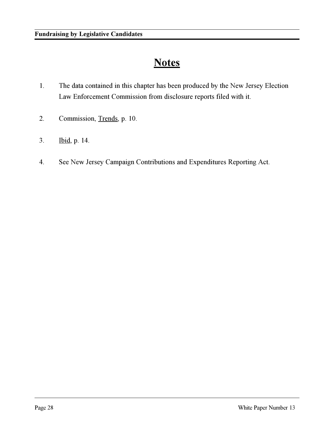### **Notes**

- 1. The data contained in this chapter has been produced by the New Jersey Election Law Enforcement Commission from disclosure reports filed with it.
- 2. Commission, Trends, p. 10.
- 3. Ibid, p. 14.
- 4. See New Jersey Campaign Contributions and Expenditures Reporting Act.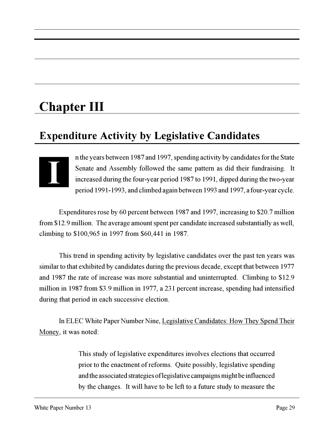# **Chapter III**

## **Expenditure Activity by Legislative Candidates**



n the years between 1987 and 1997, spending activity by candidates for the State Senate and Assembly followed the same pattern as did their fundraising. It increased during the four-year period 1987 to 1991, dipped during the two-year period 1991-1993, and climbed again between 1993 and 1997, a four-year cycle.

Expenditures rose by 60 percent between 1987 and 1997, increasing to \$20.7 million from \$12.9 million. The average amount spent per candidate increased substantially as well, climbing to \$100,965 in 1997 from \$60,441 in 1987.

This trend in spending activity by legislative candidates over the past ten years was similar to that exhibited by candidates during the previous decade, except that between 1977 and 1987 the rate of increase was more substantial and uninterrupted. Climbing to \$12.9 million in 1987 from \$3.9 million in 1977, a 231 percent increase, spending had intensified during that period in each successive election.

In ELEC White Paper Number Nine, Legislative Candidates: How They Spend Their Money, it was noted:

> This study of legislative expenditures involves elections that occurred prior to the enactment of reforms. Quite possibly, legislative spending and the associated strategies of legislative campaigns might be influenced by the changes. It will have to be left to a future study to measure the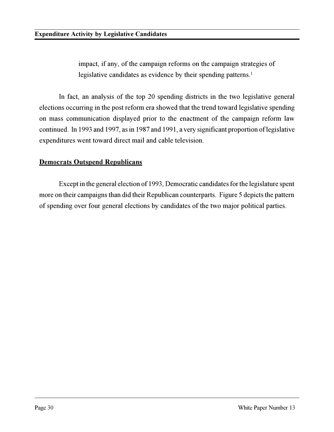impact, if any, of the campaign reforms on the campaign strategies of legislative candidates as evidence by their spending patterns.<sup>1</sup>

In fact, an analysis of the top 20 spending districts in the two legislative general elections occurring in the post reform era showed that the trend toward legislative spending on mass communication displayed prior to the enactment of the campaign reform law continued. In 1993 and 1997, as in 1987 and 1991, a very significant proportion of legislative expenditures went toward direct mail and cable television.

#### **Democrats Outspend Republicans**

Except in the general election of 1993, Democratic candidates for the legislature spent more on their campaigns than did their Republican counterparts. Figure 5 depicts the pattern of spending over four general elections by candidates of the two major political parties.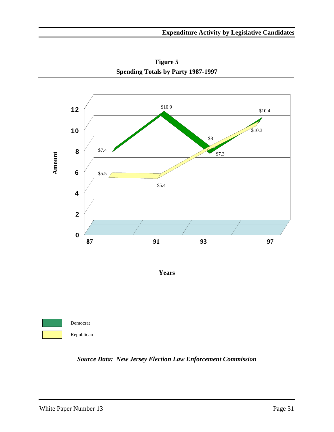

**Figure 5 Spending Totals by Party 1987-1997**

**Years**



*Source Data: New Jersey Election Law Enforcement Commission*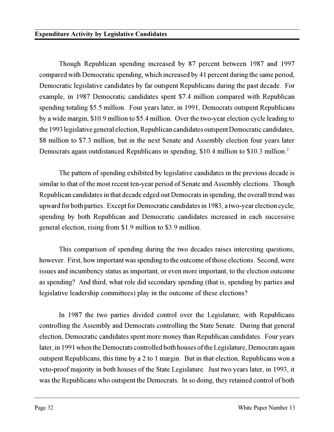Though Republican spending increased by 87 percent between 1987 and 1997 compared with Democratic spending, which increased by 41 percent during the same period, Democratic legislative candidates by far outspent Republicans during the past decade. For example, in 1987 Democratic candidates spent \$7.4 million compared with Republican spending totaling \$5.5 million. Four years later, in 1991, Democrats outspent Republicans by a wide margin, \$10.9 million to \$5.4 million. Over the two-year election cycle leading to the 1993 legislative general election, Republican candidates outspent Democratic candidates, \$8 million to \$7.3 million, but in the next Senate and Assembly election four years later Democrats again outdistanced Republicans in spending, \$10.4 million to \$10.3 million.<sup>2</sup>

The pattern of spending exhibited by legislative candidates in the previous decade is similar to that of the most recent ten-year period of Senate and Assembly elections. Though Republican candidates in that decade edged out Democrats in spending, the overall trend was upward for both parties. Except for Democratic candidates in 1983, a two-year election cycle, spending by both Republican and Democratic candidates increased in each successive general election, rising from \$1.9 million to \$3.9 million.

This comparison of spending during the two decades raises interesting questions, however. First, how important was spending to the outcome of those elections. Second, were issues and incumbency status as important, or even more important, to the election outcome as spending? And third, what role did secondary spending (that is, spending by parties and legislative leadership committees) play in the outcome of these elections?

In 1987 the two parties divided control over the Legislature, with Republicans controlling the Assembly and Democrats controlling the State Senate. During that general election, Democratic candidates spent more money than Republican candidates. Four years later, in 1991 when the Democrats controlled both houses of the Legislature, Democrats again outspent Republicans, this time by a 2 to 1 margin. But in that election, Republicans won a veto-proof majority in both houses of the State Legislature. Just two years later, in 1993, it was the Republicans who outspent the Democrats. In so doing, they retained control of both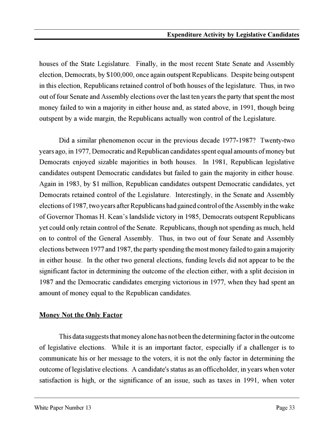houses of the State Legislature. Finally, in the most recent State Senate and Assembly election, Democrats, by \$100,000, once again outspent Republicans. Despite being outspent in this election, Republicans retained control of both houses of the legislature. Thus, in two out of four Senate and Assembly elections over the last ten years the party that spent the most money failed to win a majority in either house and, as stated above, in 1991, though being outspent by a wide margin, the Republicans actually won control of the Legislature.

Did a similar phenomenon occur in the previous decade 1977-1987? Twenty-two years ago, in 1977, Democratic and Republican candidates spent equal amounts of money but Democrats enjoyed sizable majorities in both houses. In 1981, Republican legislative candidates outspent Democratic candidates but failed to gain the majority in either house. Again in 1983, by \$1 million, Republican candidates outspent Democratic candidates, yet Democrats retained control of the Legislature. Interestingly, in the Senate and Assembly elections of 1987, two years after Republicans had gained control of the Assembly in the wake of Governor Thomas H. Kean's landslide victory in 1985, Democrats outspent Republicans yet could only retain control of the Senate. Republicans, though not spending as much, held on to control of the General Assembly. Thus, in two out of four Senate and Assembly elections between 1977 and 1987, the party spending the most money failed to gain a majority in either house. In the other two general elections, funding levels did not appear to be the significant factor in determining the outcome of the election either, with a split decision in 1987 and the Democratic candidates emerging victorious in 1977, when they had spent an amount of money equal to the Republican candidates.

#### **Money Not the Only Factor**

This data suggests that money alone has not been the determining factor in the outcome of legislative elections. While it is an important factor, especially if a challenger is to communicate his or her message to the voters, it is not the only factor in determining the outcome of legislative elections. A candidate's status as an officeholder, in years when voter satisfaction is high, or the significance of an issue, such as taxes in 1991, when voter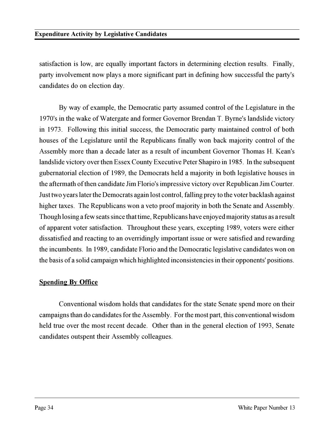satisfaction is low, are equally important factors in determining election results. Finally, party involvement now plays a more significant part in defining how successful the party's candidates do on election day.

By way of example, the Democratic party assumed control of the Legislature in the 1970's in the wake of Watergate and former Governor Brendan T. Byrne's landslide victory in 1973. Following this initial success, the Democratic party maintained control of both houses of the Legislature until the Republicans finally won back majority control of the Assembly more than a decade later as a result of incumbent Governor Thomas H. Kean's landslide victory over then Essex County Executive Peter Shapiro in 1985. In the subsequent gubernatorial election of 1989, the Democrats held a majority in both legislative houses in the aftermath of then candidate Jim Florio's impressive victory over Republican Jim Courter. Just two years later the Democrats again lost control, falling prey to the voter backlash against higher taxes. The Republicans won a veto proof majority in both the Senate and Assembly. Though losing a few seats since that time, Republicans have enjoyed majority status as a result of apparent voter satisfaction. Throughout these years, excepting 1989, voters were either dissatisfied and reacting to an overridingly important issue or were satisfied and rewarding the incumbents. In 1989, candidate Florio and the Democratic legislative candidates won on the basis of a solid campaign which highlighted inconsistencies in their opponents' positions.

# **Spending By Office**

Conventional wisdom holds that candidates for the state Senate spend more on their campaigns than do candidates for the Assembly. For the most part, this conventional wisdom held true over the most recent decade. Other than in the general election of 1993, Senate candidates outspent their Assembly colleagues.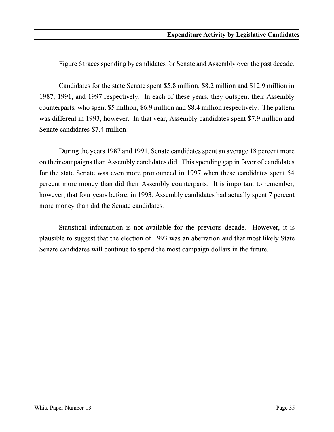Figure 6 traces spending by candidates for Senate and Assembly over the past decade.

Candidates for the state Senate spent \$5.8 million, \$8.2 million and \$12.9 million in 1987, 1991, and 1997 respectively. In each of these years, they outspent their Assembly counterparts, who spent \$5 million, \$6.9 million and \$8.4 million respectively. The pattern was different in 1993, however. In that year, Assembly candidates spent \$7.9 million and Senate candidates \$7.4 million.

During the years 1987 and 1991, Senate candidates spent an average 18 percent more on their campaigns than Assembly candidates did. This spending gap in favor of candidates for the state Senate was even more pronounced in 1997 when these candidates spent 54 percent more money than did their Assembly counterparts. It is important to remember, however, that four years before, in 1993, Assembly candidates had actually spent 7 percent more money than did the Senate candidates.

Statistical information is not available for the previous decade. However, it is plausible to suggest that the election of 1993 was an aberration and that most likely State Senate candidates will continue to spend the most campaign dollars in the future.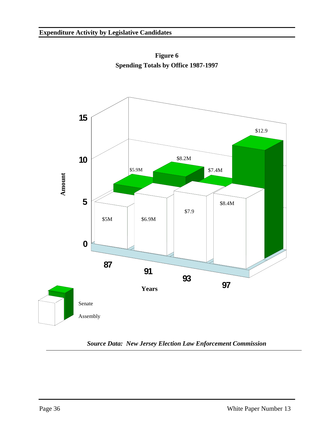

**Figure 6 Spending Totals by Office 1987-1997**

*Source Data: New Jersey Election Law Enforcement Commission*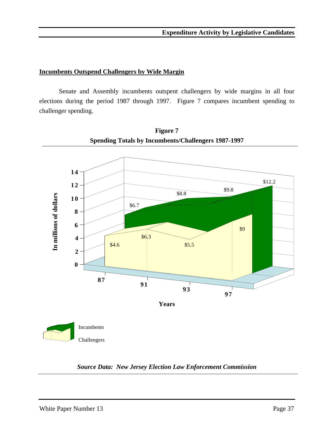#### **Incumbents Outspend Challengers by Wide Margin**

Senate and Assembly incumbents outspent challengers by wide margins in all four elections during the period 1987 through 1997. Figure 7 compares incumbent spending to challenger spending.



**Figure 7 Spending Totals by Incumbents/Challengers 1987-1997**

*Source Data: New Jersey Election Law Enforcement Commission*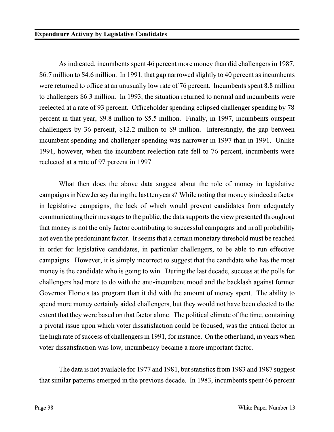As indicated, incumbents spent 46 percent more money than did challengers in 1987, \$6.7 million to \$4.6 million. In 1991, that gap narrowed slightly to 40 percent as incumbents were returned to office at an unusually low rate of 76 percent. Incumbents spent 8.8 million to challengers \$6.3 million. In 1993, the situation returned to normal and incumbents were reelected at a rate of 93 percent. Officeholder spending eclipsed challenger spending by 78 percent in that year, \$9.8 million to \$5.5 million. Finally, in 1997, incumbents outspent challengers by 36 percent, \$12.2 million to \$9 million. Interestingly, the gap between incumbent spending and challenger spending was narrower in 1997 than in 1991. Unlike 1991, however, when the incumbent reelection rate fell to 76 percent, incumbents were reelected at a rate of 97 percent in 1997.

What then does the above data suggest about the role of money in legislative campaigns in New Jersey during the last ten years? While noting that money is indeed a factor in legislative campaigns, the lack of which would prevent candidates from adequately communicating their messages to the public, the data supports the view presented throughout that money is not the only factor contributing to successful campaigns and in all probability not even the predominant factor. It seems that a certain monetary threshold must be reached in order for legislative candidates, in particular challengers, to be able to run effective campaigns. However, it is simply incorrect to suggest that the candidate who has the most money is the candidate who is going to win. During the last decade, success at the polls for challengers had more to do with the anti-incumbent mood and the backlash against former Governor Florio's tax program than it did with the amount of money spent. The ability to spend more money certainly aided challengers, but they would not have been elected to the extent that they were based on that factor alone. The political climate of the time, containing a pivotal issue upon which voter dissatisfaction could be focused, was the critical factor in the high rate of success of challengers in 1991, for instance. On the other hand, in years when voter dissatisfaction was low, incumbency became a more important factor.

The data is not available for 1977 and 1981, but statistics from 1983 and 1987 suggest that similar patterns emerged in the previous decade. In 1983, incumbents spent 66 percent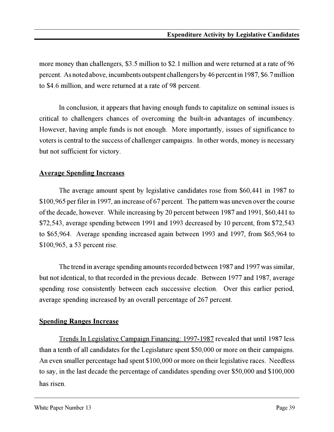more money than challengers, \$3.5 million to \$2.1 million and were returned at a rate of 96 percent. As noted above, incumbents outspent challengers by 46 percent in 1987, \$6.7 million to \$4.6 million, and were returned at a rate of 98 percent.

In conclusion, it appears that having enough funds to capitalize on seminal issues is critical to challengers chances of overcoming the built-in advantages of incumbency. However, having ample funds is not enough. More importantly, issues of significance to voters is central to the success of challenger campaigns. In other words, money is necessary but not sufficient for victory.

### **Average Spending Increases**

The average amount spent by legislative candidates rose from \$60,441 in 1987 to \$100,965 per filer in 1997, an increase of 67 percent. The pattern was uneven over the course of the decade, however. While increasing by 20 percent between 1987 and 1991, \$60,441 to \$72,543, average spending between 1991 and 1993 decreased by 10 percent, from \$72,543 to \$65,964. Average spending increased again between 1993 and 1997, from \$65,964 to \$100,965, a 53 percent rise.

The trend in average spending amounts recorded between 1987 and 1997 was similar, but not identical, to that recorded in the previous decade. Between 1977 and 1987, average spending rose consistently between each successive election. Over this earlier period, average spending increased by an overall percentage of 267 percent.

#### **Spending Ranges Increase**

Trends In Legislative Campaign Financing: 1997-1987 revealed that until 1987 less than a tenth of all candidates for the Legislature spent \$50,000 or more on their campaigns. An even smaller percentage had spent \$100,000 or more on their legislative races. Needless to say, in the last decade the percentage of candidates spending over \$50,000 and \$100,000 has risen.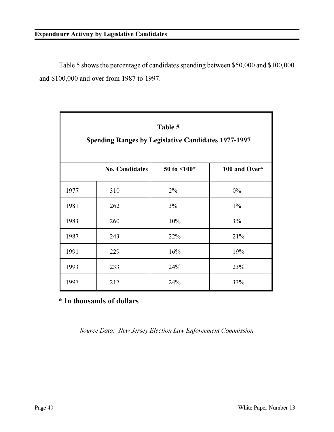Table 5 shows the percentage of candidates spending between \$50,000 and \$100,000 and \$100,000 and over from 1987 to 1997.

| Table 5<br><b>Spending Ranges by Legislative Candidates 1977-1997</b> |                       |                   |               |  |  |
|-----------------------------------------------------------------------|-----------------------|-------------------|---------------|--|--|
|                                                                       | <b>No. Candidates</b> | 50 to $\leq 100*$ | 100 and Over* |  |  |
| 1977                                                                  | 310                   | $2\%$             | $0\%$         |  |  |
| 1981                                                                  | 262                   | 3%                | $1\%$         |  |  |
| 1983                                                                  | 260                   | 10%               | 3%            |  |  |
| 1987                                                                  | 243                   | 22%               | 21%           |  |  |
| 1991                                                                  | 229                   | 16%               | 19%           |  |  |
| 1993                                                                  | 233                   | 24%               | 23%           |  |  |
| 1997                                                                  | 217                   | 24%               | 33%           |  |  |

**\* In thousands of dollars**

*Source Data: New Jersey Election Law Enforcement Commission*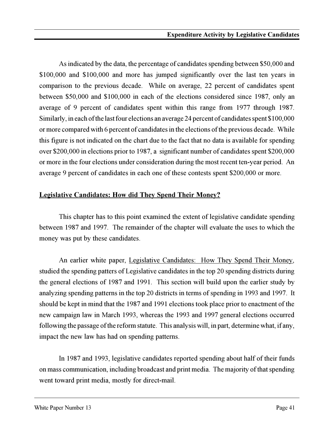As indicated by the data, the percentage of candidates spending between \$50,000 and \$100,000 and \$100,000 and more has jumped significantly over the last ten years in comparison to the previous decade. While on average, 22 percent of candidates spent between \$50,000 and \$100,000 in each of the elections considered since 1987, only an average of 9 percent of candidates spent within this range from 1977 through 1987. Similarly, in each of the last four elections an average 24 percent of candidates spent \$100,000 or more compared with 6 percent of candidates in the elections of the previous decade. While this figure is not indicated on the chart due to the fact that no data is available for spending over \$200,000 in elections prior to 1987, a significant number of candidates spent \$200,000 or more in the four elections under consideration during the most recent ten-year period. An average 9 percent of candidates in each one of these contests spent \$200,000 or more.

# **Legislative Candidates: How did They Spend Their Money?**

This chapter has to this point examined the extent of legislative candidate spending between 1987 and 1997. The remainder of the chapter will evaluate the uses to which the money was put by these candidates.

An earlier white paper, Legislative Candidates: How They Spend Their Money, studied the spending patters of Legislative candidates in the top 20 spending districts during the general elections of 1987 and 1991. This section will build upon the earlier study by analyzing spending patterns in the top 20 districts in terms of spending in 1993 and 1997. It should be kept in mind that the 1987 and 1991 elections took place prior to enactment of the new campaign law in March 1993, whereas the 1993 and 1997 general elections occurred following the passage of the reform statute. This analysis will, in part, determine what, if any, impact the new law has had on spending patterns.

In 1987 and 1993, legislative candidates reported spending about half of their funds on mass communication, including broadcast and print media. The majority of that spending went toward print media, mostly for direct-mail.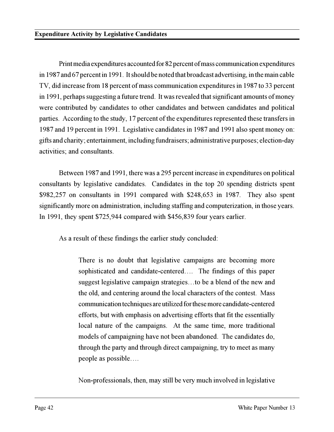Print media expenditures accounted for 82 percent of mass communication expenditures in 1987 and 67 percent in 1991. It should be noted that broadcast advertising, in the main cable TV, did increase from 18 percent of mass communication expenditures in 1987 to 33 percent in 1991, perhaps suggesting a future trend. It was revealed that significant amounts of money were contributed by candidates to other candidates and between candidates and political parties. According to the study, 17 percent of the expenditures represented these transfers in 1987 and 19 percent in 1991. Legislative candidates in 1987 and 1991 also spent money on: gifts and charity; entertainment, including fundraisers; administrative purposes; election-day activities; and consultants.

Between 1987 and 1991, there was a 295 percent increase in expenditures on political consultants by legislative candidates. Candidates in the top 20 spending districts spent \$982,257 on consultants in 1991 compared with \$248,653 in 1987. They also spent significantly more on administration, including staffing and computerization, in those years. In 1991, they spent \$725,944 compared with \$456,839 four years earlier.

As a result of these findings the earlier study concluded:

There is no doubt that legislative campaigns are becoming more sophisticated and candidate-centered.... The findings of this paper suggest legislative campaign strategies...to be a blend of the new and the old, and centering around the local characters of the contest. Mass communication techniques are utilized for these more candidate-centered efforts, but with emphasis on advertising efforts that fit the essentially local nature of the campaigns. At the same time, more traditional models of campaigning have not been abandoned. The candidates do, through the party and through direct campaigning, try to meet as many people as possible.

Non-professionals, then, may still be very much involved in legislative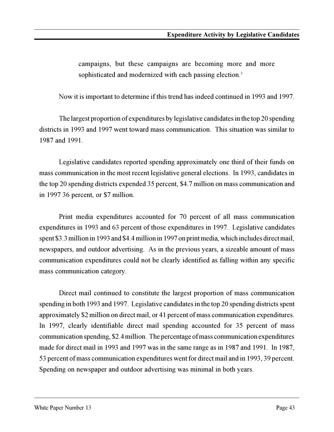campaigns, but these campaigns are becoming more and more sophisticated and modernized with each passing election.<sup>3</sup>

Now it is important to determine if this trend has indeed continued in 1993 and 1997.

The largest proportion of expenditures by legislative candidates in the top 20 spending districts in 1993 and 1997 went toward mass communication. This situation was similar to 1987 and 1991.

Legislative candidates reported spending approximately one third of their funds on mass communication in the most recent legislative general elections. In 1993, candidates in the top 20 spending districts expended 35 percent, \$4.7 million on mass communication and in 1997 36 percent, or \$7 million.

Print media expenditures accounted for 70 percent of all mass communication expenditures in 1993 and 63 percent of those expenditures in 1997. Legislative candidates spent \$3.3 million in 1993 and \$4.4 million in 1997 on print media, which includes direct mail, newspapers, and outdoor advertising. As in the previous years, a sizeable amount of mass communication expenditures could not be clearly identified as falling within any specific mass communication category.

Direct mail continued to constitute the largest proportion of mass communication spending in both 1993 and 1997. Legislative candidates in the top 20 spending districts spent approximately \$2 million on direct mail, or 41 percent of mass communication expenditures. In 1997, clearly identifiable direct mail spending accounted for 35 percent of mass communication spending, \$2.4 million. The percentage of mass communication expenditures made for direct mail in 1993 and 1997 was in the same range as in 1987 and 1991. In 1987, 53 percent of mass communication expenditures went for direct mail and in 1993, 39 percent. Spending on newspaper and outdoor advertising was minimal in both years.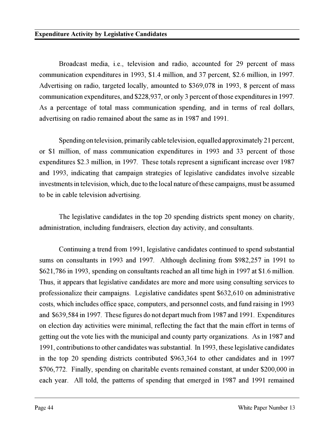Broadcast media, i.e., television and radio, accounted for 29 percent of mass communication expenditures in 1993, \$1.4 million, and 37 percent, \$2.6 million, in 1997. Advertising on radio, targeted locally, amounted to \$369,078 in 1993, 8 percent of mass communication expenditures, and \$228,937, or only 3 percent of those expenditures in 1997. As a percentage of total mass communication spending, and in terms of real dollars, advertising on radio remained about the same as in 1987 and 1991.

Spending on television, primarily cable television, equalled approximately 21 percent, or \$1 million, of mass communication expenditures in 1993 and 33 percent of those expenditures \$2.3 million, in 1997. These totals represent a significant increase over 1987 and 1993, indicating that campaign strategies of legislative candidates involve sizeable investments in television, which, due to the local nature of these campaigns, must be assumed to be in cable television advertising.

The legislative candidates in the top 20 spending districts spent money on charity, administration, including fundraisers, election day activity, and consultants.

Continuing a trend from 1991, legislative candidates continued to spend substantial sums on consultants in 1993 and 1997. Although declining from \$982,257 in 1991 to \$621,786 in 1993, spending on consultants reached an all time high in 1997 at \$1.6 million. Thus, it appears that legislative candidates are more and more using consulting services to professionalize their campaigns. Legislative candidates spent \$632,610 on administrative costs, which includes office space, computers, and personnel costs, and fund raising in 1993 and \$639,584 in 1997. These figures do not depart much from 1987 and 1991. Expenditures on election day activities were minimal, reflecting the fact that the main effort in terms of getting out the vote lies with the municipal and county party organizations. As in 1987 and 1991, contributions to other candidates was substantial. In 1993, these legislative candidates in the top 20 spending districts contributed \$963,364 to other candidates and in 1997 \$706,772. Finally, spending on charitable events remained constant, at under \$200,000 in each year. All told, the patterns of spending that emerged in 1987 and 1991 remained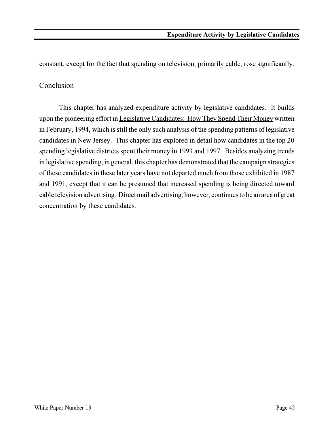constant, except for the fact that spending on television, primarily cable, rose significantly.

# Conclusion

This chapter has analyzed expenditure activity by legislative candidates. It builds upon the pioneering effort in Legislative Candidates: How They Spend Their Money written in February, 1994, which is still the only such analysis of the spending patterns of legislative candidates in New Jersey. This chapter has explored in detail how candidates in the top 20 spending legislative districts spent their money in 1993 and 1997. Besides analyzing trends in legislative spending, in general, this chapter has demonstrated that the campaign strategies of these candidates in these later years have not departed much from those exhibited in 1987 and 1991, except that it can be presumed that increased spending is being directed toward cable television advertising. Direct mail advertising, however, continues to be an area of great concentration by these candidates.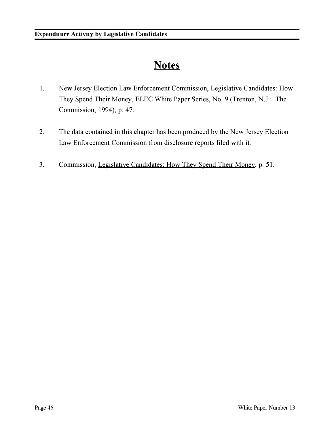# **Notes**

- 1. New Jersey Election Law Enforcement Commission, Legislative Candidates: How They Spend Their Money, ELEC White Paper Series, No. 9 (Trenton, N.J.: The Commission, 1994), p. 47.
- 2. The data contained in this chapter has been produced by the New Jersey Election Law Enforcement Commission from disclosure reports filed with it.
- 3. Commission, Legislative Candidates: How They Spend Their Money, p. 51.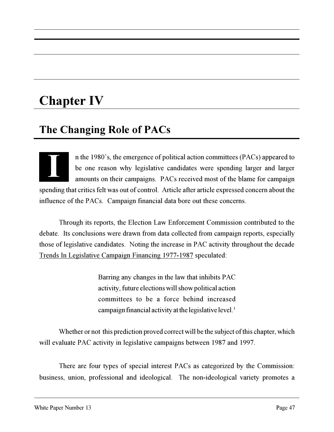# **Chapter IV**

# **The Changing Role of PACs**

II n the 1980's, the emergence of political action committees (PACs) appeared to be one reason why legislative candidates were spending larger and larger be one reason why legislative candidates were spending larger and larger amounts on their campaigns. PACs received most of the blame for campaign spending that critics felt was out of control. Article after article expressed concern about the influence of the PACs. Campaign financial data bore out these concerns.

Through its reports, the Election Law Enforcement Commission contributed to the debate. Its conclusions were drawn from data collected from campaign reports, especially those of legislative candidates. Noting the increase in PAC activity throughout the decade Trends In Legislative Campaign Financing 1977-1987 speculated:

> Barring any changes in the law that inhibits PAC activity, future elections will show political action committees to be a force behind increased campaign financial activity at the legislative level.<sup>1</sup>

Whether or not this prediction proved correct will be the subject of this chapter, which will evaluate PAC activity in legislative campaigns between 1987 and 1997.

There are four types of special interest PACs as categorized by the Commission: business, union, professional and ideological. The non-ideological variety promotes a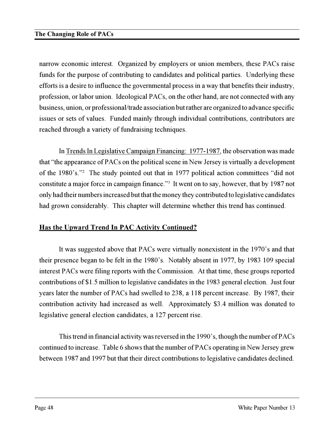#### **The Changing Role of PACs**

narrow economic interest. Organized by employers or union members, these PACs raise funds for the purpose of contributing to candidates and political parties. Underlying these efforts is a desire to influence the governmental process in a way that benefits their industry, profession, or labor union. Ideological PACs, on the other hand, are not connected with any business, union, or professional/trade association but rather are organized to advance specific issues or sets of values. Funded mainly through individual contributions, contributors are reached through a variety of fundraising techniques.

In Trends In Legislative Campaign Financing: 1977-1987, the observation was made that "the appearance of PACs on the political scene in New Jersey is virtually a development of the 1980's."<sup>2</sup> The study pointed out that in 1977 political action committees "did not constitute a major force in campaign finance."<sup>3</sup> It went on to say, however, that by 1987 not only had their numbers increased but that the money they contributed to legislative candidates had grown considerably. This chapter will determine whether this trend has continued.

# **Has the Upward Trend In PAC Activity Continued?**

It was suggested above that PACs were virtually nonexistent in the 1970's and that their presence began to be felt in the 1980's. Notably absent in 1977, by 1983 109 special interest PACs were filing reports with the Commission. At that time, these groups reported contributions of \$1.5 million to legislative candidates in the 1983 general election. Just four years later the number of PACs had swelled to 238, a 118 percent increase. By 1987, their contribution activity had increased as well. Approximately \$3.4 million was donated to legislative general election candidates, a 127 percent rise.

This trend in financial activity was reversed in the 1990's, though the number of  $PACs$ continued to increase. Table 6 shows that the number of PACs operating in New Jersey grew between 1987 and 1997 but that their direct contributions to legislative candidates declined.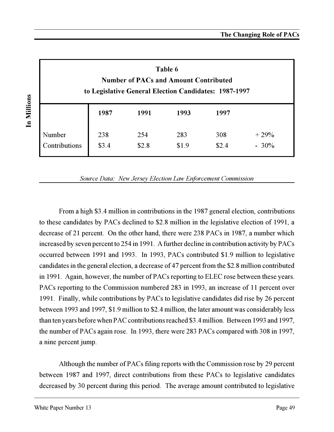| Table 6<br><b>Number of PACs and Amount Contributed</b><br>to Legislative General Election Candidates: 1987-1997 |              |              |              |              |                   |  |
|------------------------------------------------------------------------------------------------------------------|--------------|--------------|--------------|--------------|-------------------|--|
|                                                                                                                  | 1987         | 1991         | 1993         | 1997         |                   |  |
| Number<br>Contributions                                                                                          | 238<br>\$3.4 | 254<br>\$2.8 | 283<br>\$1.9 | 308<br>\$2.4 | $+29%$<br>$-30\%$ |  |

*Source Data: New Jersey Election Law Enforcement Commission*

From a high \$3.4 million in contributions in the 1987 general election, contributions to these candidates by PACs declined to \$2.8 million in the legislative election of 1991, a decrease of 21 percent. On the other hand, there were 238 PACs in 1987, a number which increased by seven percent to 254 in 1991. A further decline in contribution activity by PACs occurred between 1991 and 1993. In 1993, PACs contributed \$1.9 million to legislative candidates in the general election, a decrease of 47 percent from the \$2.8 million contributed in 1991. Again, however, the number of PACs reporting to ELEC rose between these years. PACs reporting to the Commission numbered 283 in 1993, an increase of 11 percent over 1991. Finally, while contributions by PACs to legislative candidates did rise by 26 percent between 1993 and 1997, \$1.9 million to \$2.4 million, the later amount was considerably less than ten years before when PAC contributions reached \$3.4 million. Between 1993 and 1997, the number of PACs again rose. In 1993, there were 283 PACs compared with 308 in 1997, a nine percent jump.

Although the number of PACs filing reports with the Commission rose by 29 percent between 1987 and 1997, direct contributions from these PACs to legislative candidates decreased by 30 percent during this period. The average amount contributed to legislative

In Millions **In Millions**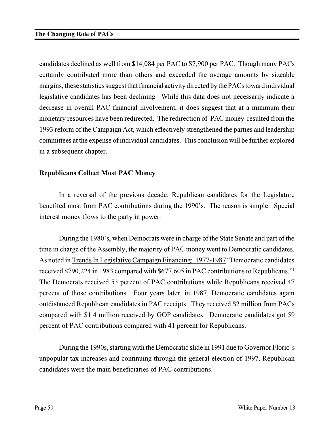candidates declined as well from \$14,084 per PAC to \$7,900 per PAC. Though many PACs certainly contributed more than others and exceeded the average amounts by sizeable margins, these statistics suggest that financial activity directed by the PACs toward individual legislative candidates has been declining. While this data does not necessarily indicate a decrease in overall PAC financial involvement, it does suggest that at a minimum their monetary resources have been redirected. The redirection of PAC money resulted from the 1993 reform of the Campaign Act, which effectively strengthened the parties and leadership committees at the expense of individual candidates. This conclusion will be further explored in a subsequent chapter.

### **Republicans Collect Most PAC Money**

In a reversal of the previous decade, Republican candidates for the Legislature benefited most from PAC contributions during the 1990's. The reason is simple: Special interest money flows to the party in power.

During the 1980's, when Democrats were in charge of the State Senate and part of the time in charge of the Assembly, the majority of PAC money went to Democratic candidates. As noted in Trends In Legislative Campaign Financing: 1977-1987 "Democratic candidates received \$790,224 in 1983 compared with \$677,605 in PAC contributions to Republicans."<sup>4</sup> The Democrats received 53 percent of PAC contributions while Republicans received 47 percent of those contributions. Four years later, in 1987, Democratic candidates again outdistanced Republican candidates in PAC receipts. They received \$2 million from PACs compared with \$1.4 million received by GOP candidates. Democratic candidates got 59 percent of PAC contributions compared with 41 percent for Republicans.

During the 1990s, starting with the Democratic slide in 1991 due to Governor Florio's unpopular tax increases and continuing through the general election of 1997, Republican candidates were the main beneficiaries of PAC contributions.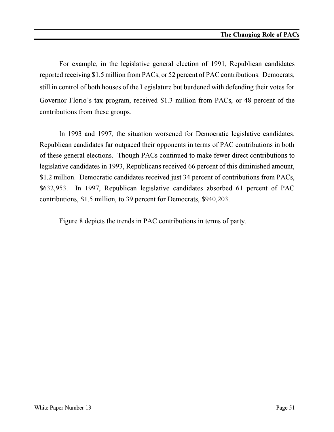For example, in the legislative general election of 1991, Republican candidates reported receiving \$1.5 million from PACs, or 52 percent of PAC contributions. Democrats, still in control of both houses of the Legislature but burdened with defending their votes for Governor Florio's tax program, received \$1.3 million from PACs, or 48 percent of the contributions from these groups.

In 1993 and 1997, the situation worsened for Democratic legislative candidates. Republican candidates far outpaced their opponents in terms of PAC contributions in both of these general elections. Though PACs continued to make fewer direct contributions to legislative candidates in 1993, Republicans received 66 percent of this diminished amount, \$1.2 million. Democratic candidates received just 34 percent of contributions from PACs, \$632,953. In 1997, Republican legislative candidates absorbed 61 percent of PAC contributions, \$1.5 million, to 39 percent for Democrats, \$940,203.

Figure 8 depicts the trends in PAC contributions in terms of party.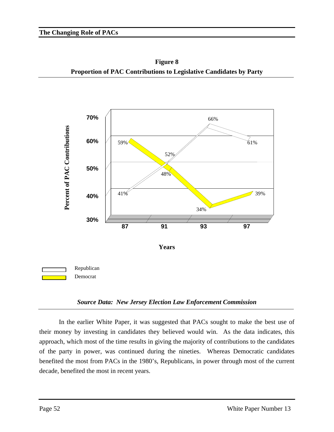**Figure 8 Proportion of PAC Contributions to Legislative Candidates by Party**



#### *Source Data: New Jersey Election Law Enforcement Commission*

In the earlier White Paper, it was suggested that PACs sought to make the best use of their money by investing in candidates they believed would win. As the data indicates, this approach, which most of the time results in giving the majority of contributions to the candidates of the party in power, was continued during the nineties. Whereas Democratic candidates benefited the most from PACs in the 1980's, Republicans, in power through most of the current decade, benefited the most in recent years.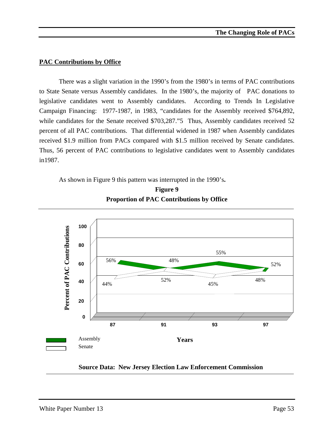#### **PAC Contributions by Office**

There was a slight variation in the 1990's from the 1980's in terms of PAC contributions to State Senate versus Assembly candidates. In the 1980's, the majority of PAC donations to legislative candidates went to Assembly candidates. According to Trends In Legislative Campaign Financing: 1977-1987, in 1983, "candidates for the Assembly received \$764,892, while candidates for the Senate received \$703,287."5 Thus, Assembly candidates received 52 percent of all PAC contributions. That differential widened in 1987 when Assembly candidates received \$1.9 million from PACs compared with \$1.5 million received by Senate candidates. Thus, 56 percent of PAC contributions to legislative candidates went to Assembly candidates in1987.

As shown in Figure 9 this pattern was interrupted in the 1990's**.**





**Source Data: New Jersey Election Law Enforcement Commission**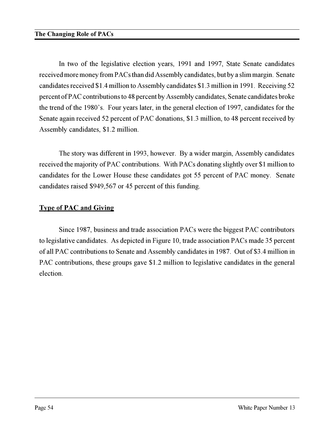In two of the legislative election years, 1991 and 1997, State Senate candidates received more money from PACs than did Assembly candidates, but by a slim margin. Senate candidates received \$1.4 million to Assembly candidates \$1.3 million in 1991. Receiving 52 percent of PAC contributions to 48 percent by Assembly candidates, Senate candidates broke the trend of the 1980's. Four years later, in the general election of 1997, candidates for the Senate again received 52 percent of PAC donations, \$1.3 million, to 48 percent received by Assembly candidates, \$1.2 million.

The story was different in 1993, however. By a wider margin, Assembly candidates received the majority of PAC contributions. With PACs donating slightly over \$1 million to candidates for the Lower House these candidates got 55 percent of PAC money. Senate candidates raised \$949,567 or 45 percent of this funding.

# **Type of PAC and Giving**

Since 1987, business and trade association PACs were the biggest PAC contributors to legislative candidates. As depicted in Figure 10, trade association PACs made 35 percent of all PAC contributions to Senate and Assembly candidates in 1987. Out of \$3.4 million in PAC contributions, these groups gave \$1.2 million to legislative candidates in the general election.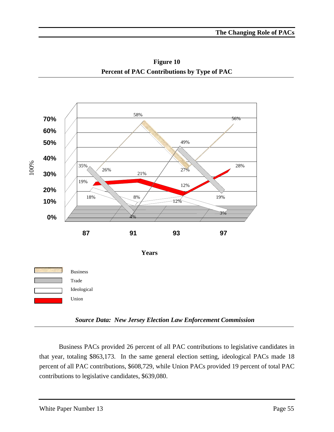**Figure 10 Percent of PAC Contributions by Type of PAC**



*Source Data: New Jersey Election Law Enforcement Commission*

Business PACs provided 26 percent of all PAC contributions to legislative candidates in that year, totaling \$863,173. In the same general election setting, ideological PACs made 18 percent of all PAC contributions, \$608,729, while Union PACs provided 19 percent of total PAC contributions to legislative candidates, \$639,080.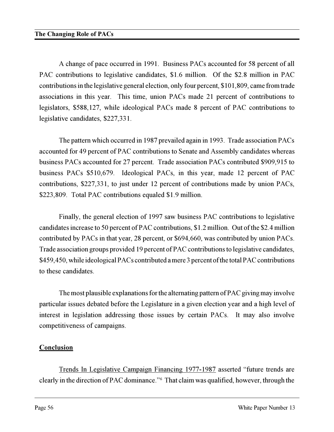A change of pace occurred in 1991. Business PACs accounted for 58 percent of all PAC contributions to legislative candidates, \$1.6 million. Of the \$2.8 million in PAC contributions in the legislative general election, only four percent, \$101,809, came from trade associations in this year. This time, union PACs made 21 percent of contributions to legislators, \$588,127, while ideological PACs made 8 percent of PAC contributions to legislative candidates, \$227,331.

The pattern which occurred in 1987 prevailed again in 1993. Trade association PACs accounted for 49 percent of PAC contributions to Senate and Assembly candidates whereas business PACs accounted for 27 percent. Trade association PACs contributed \$909,915 to business PACs \$510,679. Ideological PACs, in this year, made 12 percent of PAC contributions, \$227,331, to just under 12 percent of contributions made by union PACs, \$223,809. Total PAC contributions equaled \$1.9 million.

Finally, the general election of 1997 saw business PAC contributions to legislative candidates increase to 50 percent of PAC contributions, \$1.2 million. Out of the \$2.4 million contributed by PACs in that year, 28 percent, or \$694,660, was contributed by union PACs. Trade association groups provided 19 percent of PAC contributions to legislative candidates, \$459,450, while ideological PACs contributed a mere 3 percent of the total PAC contributions to these candidates.

The most plausible explanations for the alternating pattern of PAC giving may involve particular issues debated before the Legislature in a given election year and a high level of interest in legislation addressing those issues by certain PACs. It may also involve competitiveness of campaigns.

# **Conclusion**

Trends In Legislative Campaign Financing 1977-1987 asserted "future trends are clearly in the direction of PAC dominance."<sup>6</sup> That claim was qualified, however, through the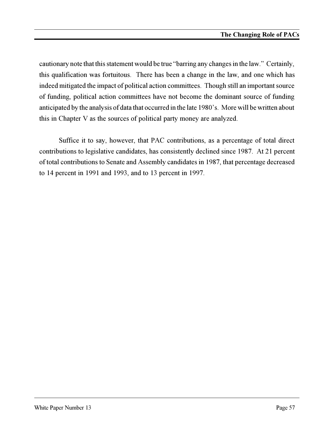cautionary note that this statement would be true "barring any changes in the law." Certainly, this qualification was fortuitous. There has been a change in the law, and one which has indeed mitigated the impact of political action committees. Though still an important source of funding, political action committees have not become the dominant source of funding anticipated by the analysis of data that occurred in the late 1980's. More will be written about this in Chapter V as the sources of political party money are analyzed.

Suffice it to say, however, that PAC contributions, as a percentage of total direct contributions to legislative candidates, has consistently declined since 1987. At 21 percent of total contributions to Senate and Assembly candidates in 1987, that percentage decreased to 14 percent in 1991 and 1993, and to 13 percent in 1997.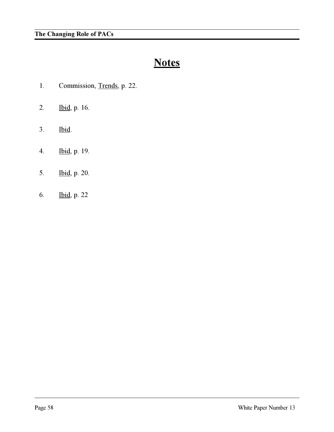# **Notes**

- 1. Commission, Trends, p. 22.
- 2. Ibid, p. 16.
- 3. Ibid.
- 4. Ibid, p. 19.
- 5. Ibid, p. 20.
- 6. Ibid, p. 22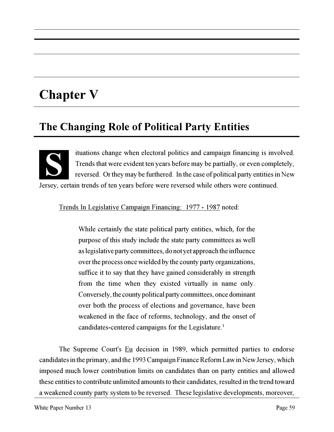# **Chapter V**

**S**

# **The Changing Role of Political Party Entities**

ituations change when electoral politics and campaign financing is involved. Trends that were evident ten years before may be partially, or even completely, reversed. Or they may be furthered. In the case of political party entities in New Jersey, certain trends of ten years before were reversed while others were continued.

Trends In Legislative Campaign Financing: 1977 - 1987 noted:

While certainly the state political party entities, which, for the purpose of this study include the state party committees as well as legislative party committees, do not yet approach the influence over the process once wielded by the county party organizations, suffice it to say that they have gained considerably in strength from the time when they existed virtually in name only. Conversely, the county political party committees, once dominant over both the process of elections and governance, have been weakened in the face of reforms, technology, and the onset of candidates-centered campaigns for the Legislature.<sup>1</sup>

The Supreme Court's Eu decision in 1989, which permitted parties to endorse candidates in the primary, and the 1993 Campaign Finance Reform Law in New Jersey, which imposed much lower contribution limits on candidates than on party entities and allowed these entities to contribute unlimited amounts to their candidates, resulted in the trend toward a weakened county party system to be reversed. These legislative developments, moreover,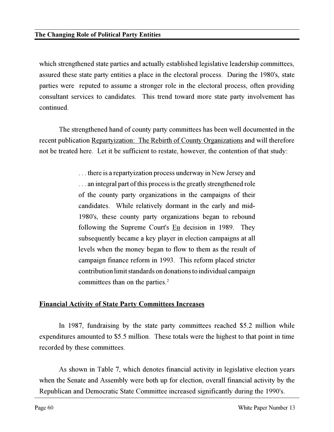which strengthened state parties and actually established legislative leadership committees, assured these state party entities a place in the electoral process. During the 1980's, state parties were reputed to assume a stronger role in the electoral process, often providing consultant services to candidates. This trend toward more state party involvement has continued.

The strengthened hand of county party committees has been well documented in the recent publication Repartyization: The Rebirth of County Organizations and will therefore not be treated here. Let it be sufficient to restate, however, the contention of that study:

> . . . there is a repartyization process underway in New Jersey and . . . an integral part of this process is the greatly strengthened role of the county party organizations in the campaigns of their candidates. While relatively dormant in the early and mid-1980's, these county party organizations began to rebound following the Supreme Court's  $Eu$  decision in 1989. They</u> subsequently became a key player in election campaigns at all levels when the money began to flow to them as the result of campaign finance reform in 1993. This reform placed stricter contribution limit standards on donations to individual campaign committees than on the parties.<sup>2</sup>

# **Financial Activity of State Party Committees Increases**

In 1987, fundraising by the state party committees reached \$5.2 million while expenditures amounted to \$5.5 million. These totals were the highest to that point in time recorded by these committees.

As shown in Table 7, which denotes financial activity in legislative election years when the Senate and Assembly were both up for election, overall financial activity by the Republican and Democratic State Committee increased significantly during the 1990's.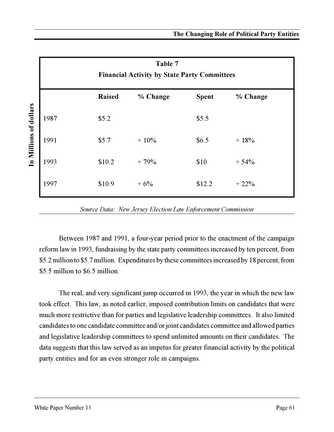| Table 7<br><b>Financial Activity by State Party Committees</b> |               |          |              |          |  |
|----------------------------------------------------------------|---------------|----------|--------------|----------|--|
|                                                                | <b>Raised</b> | % Change | <b>Spent</b> | % Change |  |
| 1987                                                           | \$5.2         |          | \$5.5        |          |  |
| 1991                                                           | \$5.7         | $+10\%$  | \$6.5        | $+18%$   |  |
| 1993                                                           | \$10.2        | $+79%$   | \$10         | $+54%$   |  |
| 1997                                                           | \$10.9        | $+6%$    | \$12.2       | $+22%$   |  |

*Source Data: New Jersey Election Law Enforcement Commission*

Between 1987 and 1991, a four-year period prior to the enactment of the campaign reform law in 1993, fundraising by the state party committees increased by ten percent, from \$5.2 million to \$5.7 million. Expenditures by these committees increased by 18 percent, from \$5.5 million to \$6.5 million

The real, and very significant jump occurred in 1993, the year in which the new law took effect. This law, as noted earlier, imposed contribution limits on candidates that were much more restrictive than for parties and legislative leadership committees. It also limited candidates to one candidate committee and/or joint candidates committee and allowed parties and legislative leadership committees to spend unlimited amounts on their candidates. The data suggests that this law served as an impetus for greater financial activity by the political party entities and for an even stronger role in campaigns.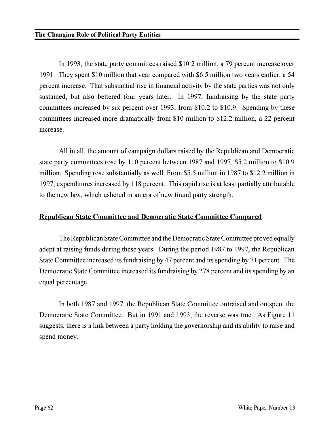In 1993, the state party committees raised \$10.2 million, a 79 percent increase over 1991. They spent \$10 million that year compared with \$6.5 million two years earlier, a 54 percent increase. That substantial rise in financial activity by the state parties was not only sustained, but also bettered four years later. In 1997, fundraising by the state party committees increased by six percent over 1993, from \$10.2 to \$10.9. Spending by these committees increased more dramatically from \$10 million to \$12.2 million, a 22 percent increase.

All in all, the amount of campaign dollars raised by the Republican and Democratic state party committees rose by 110 percent between 1987 and 1997, \$5.2 million to \$10.9 million. Spending rose substantially as well. From \$5.5 million in 1987 to \$12.2 million in 1997, expenditures increased by 118 percent. This rapid rise is at least partially attributable to the new law, which ushered in an era of new found party strength.

#### **Republican State Committee and Democratic State Committee Compared**

The Republican State Committee and the Democratic State Committee proved equally adept at raising funds during these years. During the period 1987 to 1997, the Republican State Committee increased its fundraising by 47 percent and its spending by 71 percent. The Democratic State Committee increased its fundraising by 278 percent and its spending by an equal percentage.

In both 1987 and 1997, the Republican State Committee outraised and outspent the Democratic State Committee. But in 1991 and 1993, the reverse was true. As Figure 11 suggests, there is a link between a party holding the governorship and its ability to raise and spend money.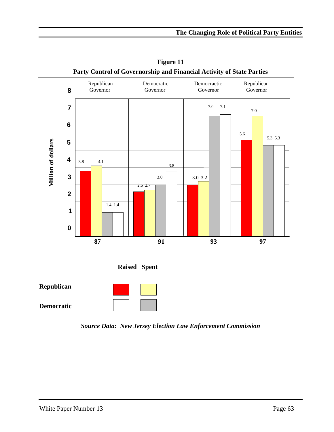

**Figure 11 Party Control of Governorship and Financial Activity of State Parties**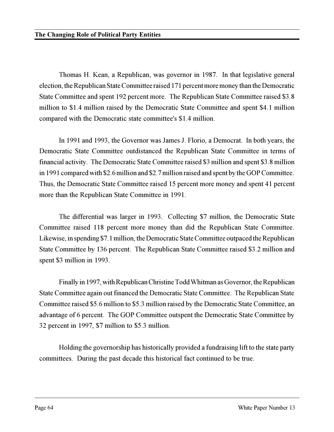Thomas H. Kean, a Republican, was governor in 1987. In that legislative general election, the Republican State Committee raised 171 percent more money than the Democratic State Committee and spent 192 percent more. The Republican State Committee raised \$3.8 million to \$1.4 million raised by the Democratic State Committee and spent \$4.1 million compared with the Democratic state committee's \$1.4 million.

In 1991 and 1993, the Governor was James J. Florio, a Democrat. In both years, the Democratic State Committee outdistanced the Republican State Committee in terms of financial activity. The Democratic State Committee raised \$3 million and spent \$3.8 million in 1991 compared with \$2.6 million and \$2.7 million raised and spent by the GOP Committee. Thus, the Democratic State Committee raised 15 percent more money and spent 41 percent more than the Republican State Committee in 1991.

The differential was larger in 1993. Collecting \$7 million, the Democratic State Committee raised 118 percent more money than did the Republican State Committee. Likewise, in spending \$7.1 million, the Democratic State Committee outpaced the Republican State Committee by 136 percent. The Republican State Committee raised \$3.2 million and spent \$3 million in 1993.

Finally in 1997, with Republican Christine Todd Whitman as Governor, the Republican State Committee again out financed the Democratic State Committee. The Republican State Committee raised \$5.6 million to \$5.3 million raised by the Democratic State Committee, an advantage of 6 percent. The GOP Committee outspent the Democratic State Committee by 32 percent in 1997, \$7 million to \$5.3 million.

Holding the governorship has historically provided a fundraising lift to the state party committees. During the past decade this historical fact continued to be true.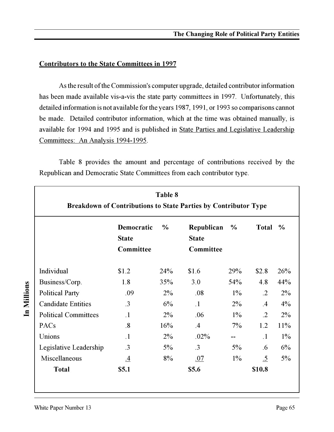# **Contributors to the State Committees in 1997**

As the result of the Commission's computer upgrade, detailed contributor information has been made available vis-a-vis the state party committees in 1997. Unfortunately, this detailed information is not available for the years 1987, 1991, or 1993 so comparisons cannot be made. Detailed contributor information, which at the time was obtained manually, is available for 1994 and 1995 and is published in State Parties and Legislative Leadership Committees: An Analysis 1994-1995.

| Table 8<br><b>Breakdown of Contributions to State Parties by Contributor Type</b> |                                         |               |                                         |       |              |               |  |
|-----------------------------------------------------------------------------------|-----------------------------------------|---------------|-----------------------------------------|-------|--------------|---------------|--|
|                                                                                   | Democratic<br><b>State</b><br>Committee | $\frac{6}{6}$ | Republican<br><b>State</b><br>Committee | $\%$  | <b>Total</b> | $\frac{0}{0}$ |  |
| Individual                                                                        | \$1.2                                   | 24%           | \$1.6                                   | 29%   | \$2.8        | 26%           |  |
| Business/Corp.                                                                    | 1.8                                     | 35%           | 3.0                                     | 54%   | 4.8          | 44%           |  |
| <b>Political Party</b>                                                            | .09                                     | $2\%$         | .08                                     | $1\%$ | $\cdot$ .2   | $2\%$         |  |
| <b>Candidate Entities</b>                                                         | $\cdot$ 3                               | 6%            | $\cdot$ 1                               | $2\%$ | $.4\,$       | 4%            |  |
| <b>Political Committees</b>                                                       | $\cdot$ 1                               | $2\%$         | .06                                     | $1\%$ | $\cdot$ 2    | $2\%$         |  |
| PACs                                                                              | $\overline{.8}$                         | 16%           | .4                                      | $7\%$ | 1.2          | 11%           |  |
| Unions                                                                            | $\cdot$ 1                               | $2\%$         | $.02\%$                                 | --    | $\cdot$ 1    | $1\%$         |  |
| Legislative Leadership                                                            | $\cdot$ 3                               | $5\%$         | $\cdot$ 3                               | $5\%$ | .6           | 6%            |  |
| Miscellaneous                                                                     | .4                                      | 8%            | .07                                     | $1\%$ | $\cdot 5$    | 5%            |  |
| <b>Total</b>                                                                      | \$5.1                                   |               | \$5.6                                   |       | \$10.8       |               |  |

Table 8 provides the amount and percentage of contributions received by the Republican and Democratic State Committees from each contributor type.

In Millions **In Millions**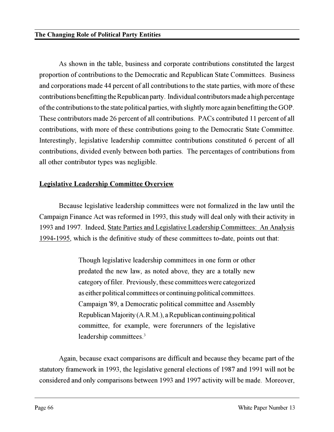As shown in the table, business and corporate contributions constituted the largest proportion of contributions to the Democratic and Republican State Committees. Business and corporations made 44 percent of all contributions to the state parties, with more of these contributions benefitting the Republican party. Individual contributors made a high percentage of the contributions to the state political parties, with slightly more again benefitting the GOP. These contributors made 26 percent of all contributions. PACs contributed 11 percent of all contributions, with more of these contributions going to the Democratic State Committee. Interestingly, legislative leadership committee contributions constituted 6 percent of all contributions, divided evenly between both parties. The percentages of contributions from all other contributor types was negligible.

# **Legislative Leadership Committee Overview**

Because legislative leadership committees were not formalized in the law until the Campaign Finance Act was reformed in 1993, this study will deal only with their activity in 1993 and 1997. Indeed, State Parties and Legislative Leadership Committees: An Analysis 1994-1995, which is the definitive study of these committees to-date, points out that:

> Though legislative leadership committees in one form or other predated the new law, as noted above, they are a totally new category of filer. Previously, these committees were categorized as either political committees or continuing political committees. Campaign '89, a Democratic political committee and Assembly Republican Majority (A.R.M.), a Republican continuing political committee, for example, were forerunners of the legislative leadership committees.<sup>3</sup>

Again, because exact comparisons are difficult and because they became part of the statutory framework in 1993, the legislative general elections of 1987 and 1991 will not be considered and only comparisons between 1993 and 1997 activity will be made. Moreover,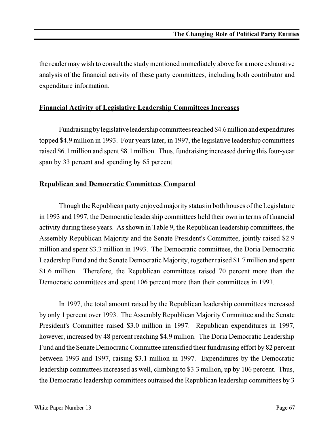the reader may wish to consult the study mentioned immediately above for a more exhaustive analysis of the financial activity of these party committees, including both contributor and expenditure information.

#### **Financial Activity of Legislative Leadership Committees Increases**

Fundraising by legislative leadership committees reached \$4.6 million and expenditures topped \$4.9 million in 1993. Four years later, in 1997, the legislative leadership committees raised \$6.1 million and spent \$8.1 million. Thus, fundraising increased during this four-year span by 33 percent and spending by 65 percent.

# **Republican and Democratic Committees Compared**

Though the Republican party enjoyed majority status in both houses of the Legislature in 1993 and 1997, the Democratic leadership committees held their own in terms of financial activity during these years. As shown in Table 9, the Republican leadership committees, the Assembly Republican Majority and the Senate President's Committee, jointly raised \$2.9 million and spent \$3.3 million in 1993. The Democratic committees, the Doria Democratic Leadership Fund and the Senate Democratic Majority, together raised \$1.7 million and spent \$1.6 million. Therefore, the Republican committees raised 70 percent more than the Democratic committees and spent 106 percent more than their committees in 1993.

In 1997, the total amount raised by the Republican leadership committees increased by only 1 percent over 1993. The Assembly Republican Majority Committee and the Senate President's Committee raised \$3.0 million in 1997. Republican expenditures in 1997, however, increased by 48 percent reaching \$4.9 million. The Doria Democratic Leadership Fund and the Senate Democratic Committee intensified their fundraising effort by 82 percent between 1993 and 1997, raising \$3.1 million in 1997. Expenditures by the Democratic leadership committees increased as well, climbing to \$3.3 million, up by 106 percent. Thus, the Democratic leadership committees outraised the Republican leadership committees by 3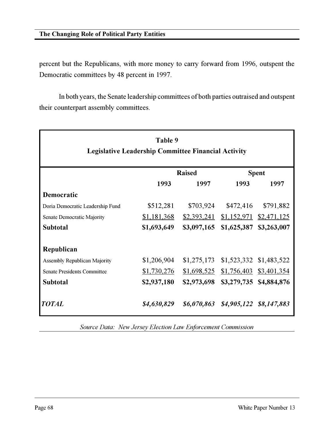#### **The Changing Role of Political Party Entities**

percent but the Republicans, with more money to carry forward from 1996, outspent the Democratic committees by 48 percent in 1997.

In both years, the Senate leadership committees of both parties outraised and outspent their counterpart assembly committees.

| Table 9<br><b>Legislative Leadership Committee Financial Activity</b> |               |             |              |                          |  |  |  |  |  |
|-----------------------------------------------------------------------|---------------|-------------|--------------|--------------------------|--|--|--|--|--|
|                                                                       | <b>Raised</b> |             | <b>Spent</b> |                          |  |  |  |  |  |
|                                                                       | 1993          | 1997        | 1993         | 1997                     |  |  |  |  |  |
| Democratic                                                            |               |             |              |                          |  |  |  |  |  |
| Doria Democratic Leadership Fund                                      | \$512,281     | \$703,924   | \$472,416    | \$791,882                |  |  |  |  |  |
| <b>Senate Democratic Majority</b>                                     | \$1,181,368   | \$2,393,241 | \$1,152,971  | \$2,471,125              |  |  |  |  |  |
| <b>Subtotal</b>                                                       | \$1,693,649   | \$3,097,165 | \$1,625,387  | \$3,263,007              |  |  |  |  |  |
| Republican                                                            |               |             |              |                          |  |  |  |  |  |
| <b>Assembly Republican Majority</b>                                   | \$1,206,904   | \$1,275,173 |              | \$1,523,332 \$1,483,522  |  |  |  |  |  |
| <b>Senate Presidents Committee</b>                                    | \$1,730,276   | \$1,698,525 |              | $$1,756,403$ \$3,401,354 |  |  |  |  |  |
| <b>Subtotal</b>                                                       | \$2,937,180   | \$2,973,698 |              | \$3,279,735 \$4,884,876  |  |  |  |  |  |
| <b>TOTAL</b>                                                          | \$4,630,829   | \$6,070,863 |              | \$4,905,122 \$8,147,883  |  |  |  |  |  |

*Source Data: New Jersey Election Law Enforcement Commission*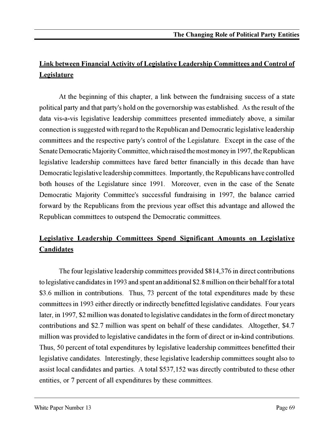#### **Link between Financial Activity of Legislative Leadership Committees and Control of Legislature**

At the beginning of this chapter, a link between the fundraising success of a state political party and that party's hold on the governorship was established. As the result of the data vis-a-vis legislative leadership committees presented immediately above, a similar connection is suggested with regard to the Republican and Democratic legislative leadership committees and the respective party's control of the Legislature. Except in the case of the Senate Democratic Majority Committee, which raised the most money in 1997, the Republican legislative leadership committees have fared better financially in this decade than have Democratic legislative leadership committees. Importantly, the Republicans have controlled both houses of the Legislature since 1991. Moreover, even in the case of the Senate Democratic Majority Committee's successful fundraising in 1997, the balance carried forward by the Republicans from the previous year offset this advantage and allowed the Republican committees to outspend the Democratic committees.

#### **Legislative Leadership Committees Spend Significant Amounts on Legislative Candidates**

The four legislative leadership committees provided \$814,376 in direct contributions to legislative candidates in 1993 and spent an additional \$2.8 million on their behalf for a total \$3.6 million in contributions. Thus, 73 percent of the total expenditures made by these committees in 1993 either directly or indirectly benefitted legislative candidates. Four years later, in 1997, \$2 million was donated to legislative candidates in the form of direct monetary contributions and \$2.7 million was spent on behalf of these candidates. Altogether, \$4.7 million was provided to legislative candidates in the form of direct or in-kind contributions. Thus, 50 percent of total expenditures by legislative leadership committees benefitted their legislative candidates. Interestingly, these legislative leadership committees sought also to assist local candidates and parties. A total \$537,152 was directly contributed to these other entities, or 7 percent of all expenditures by these committees.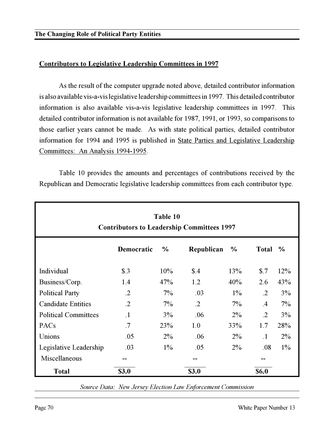#### **Contributors to Legislative Leadership Committees in 1997**

As the result of the computer upgrade noted above, detailed contributor information is also available vis-a-vis legislative leadership committees in 1997. This detailed contributor information is also available vis-a-vis legislative leadership committees in 1997. This detailed contributor information is not available for 1987, 1991, or 1993, so comparisons to those earlier years cannot be made. As with state political parties, detailed contributor information for 1994 and 1995 is published in State Parties and Legislative Leadership Committees: An Analysis 1994-1995.

Table 10 provides the amounts and percentages of contributions received by the Republican and Democratic legislative leadership committees from each contributor type.

| Table 10<br><b>Contributors to Leadership Committees 1997</b> |                   |               |            |               |                     |               |  |  |  |
|---------------------------------------------------------------|-------------------|---------------|------------|---------------|---------------------|---------------|--|--|--|
|                                                               | <b>Democratic</b> | $\frac{0}{0}$ | Republican | $\frac{0}{0}$ | <b>Total</b>        | $\frac{6}{6}$ |  |  |  |
| Individual                                                    | $\text{\$}.3$     | 10%           | \$.4       | 13%           | $\boldsymbol{\$}.7$ | 12%           |  |  |  |
| Business/Corp.                                                | 1.4               | 47%           | 1.2        | 40%           | 2.6                 | 43%           |  |  |  |
| <b>Political Party</b>                                        | $\cdot$ .2        | $7\%$         | .03        | $1\%$         | $\cdot$ .2          | 3%            |  |  |  |
| <b>Candidate Entities</b>                                     | $\cdot$ .2        | $7\%$         | $\cdot$ .2 | $7\%$         | .4                  | $7\%$         |  |  |  |
| <b>Political Committees</b>                                   | $\cdot$ 1         | 3%            | .06        | $2\%$         | $\cdot$ .2          | 3%            |  |  |  |
| PACs                                                          | .7                | 23%           | 1.0        | 33%           | 1.7                 | 28%           |  |  |  |
| Unions                                                        | .05               | $2\%$         | .06        | $2\%$         | $\cdot$ 1           | $2\%$         |  |  |  |
| Legislative Leadership                                        | .03               | $1\%$         | .05        | $2\%$         | .08                 | $1\%$         |  |  |  |
| Miscellaneous                                                 |                   |               | --         |               |                     |               |  |  |  |
| <b>Total</b>                                                  | \$3.0             |               | \$3.0      |               | \$6.0               |               |  |  |  |

*Source Data: New Jersey Election Law Enforcement Commission*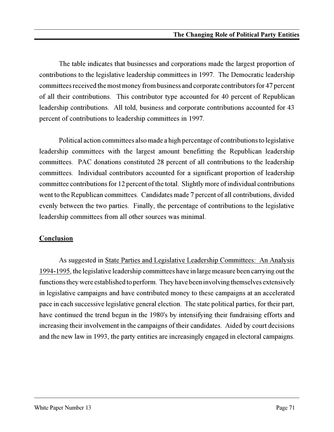The table indicates that businesses and corporations made the largest proportion of contributions to the legislative leadership committees in 1997. The Democratic leadership committees received the most money from business and corporate contributors for 47 percent of all their contributions. This contributor type accounted for 40 percent of Republican leadership contributions. All told, business and corporate contributions accounted for 43 percent of contributions to leadership committees in 1997.

Political action committees also made a high percentage of contributions to legislative leadership committees with the largest amount benefitting the Republican leadership committees. PAC donations constituted 28 percent of all contributions to the leadership committees. Individual contributors accounted for a significant proportion of leadership committee contributions for 12 percent of the total. Slightly more of individual contributions went to the Republican committees. Candidates made 7 percent of all contributions, divided evenly between the two parties. Finally, the percentage of contributions to the legislative leadership committees from all other sources was minimal.

#### **Conclusion**

As suggested in State Parties and Legislative Leadership Committees: An Analysis 1994-1995, the legislative leadership committees have in large measure been carrying out the functions they were established to perform. They have been involving themselves extensively in legislative campaigns and have contributed money to these campaigns at an accelerated pace in each successive legislative general election. The state political parties, for their part, have continued the trend begun in the 1980's by intensifying their fundraising efforts and increasing their involvement in the campaigns of their candidates. Aided by court decisions and the new law in 1993, the party entities are increasingly engaged in electoral campaigns.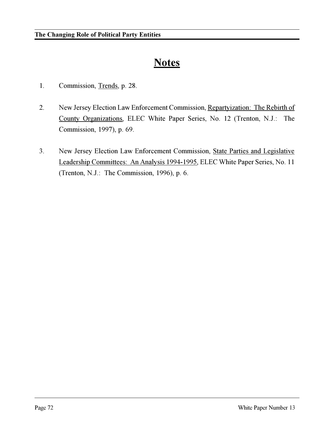### **Notes**

- 1. Commission, Trends, p. 28.
- 2. New Jersey Election Law Enforcement Commission, Repartyization: The Rebirth of County Organizations, ELEC White Paper Series, No. 12 (Trenton, N.J.: The Commission, 1997), p. 69.
- 3. New Jersey Election Law Enforcement Commission, State Parties and Legislative Leadership Committees: An Analysis 1994-1995, ELEC White Paper Series, No. 11 (Trenton, N.J.: The Commission, 1996), p. 6.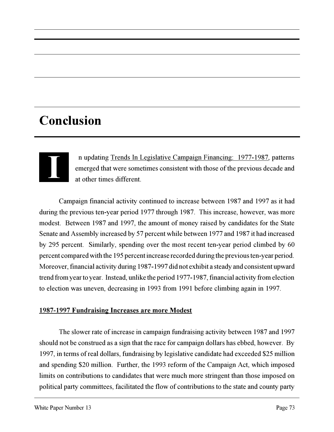**I** n updating Trends In Legislative Campaign Financing: 1977-1987, patterns emerged that were sometimes consistent with those of the previous decade and at other times different.

Campaign financial activity continued to increase between 1987 and 1997 as it had during the previous ten-year period 1977 through 1987. This increase, however, was more modest. Between 1987 and 1997, the amount of money raised by candidates for the State Senate and Assembly increased by 57 percent while between 1977 and 1987 it had increased by 295 percent. Similarly, spending over the most recent ten-year period climbed by 60 percent compared with the 195 percent increase recorded during the previous ten-year period. Moreover, financial activity during 1987-1997 did not exhibit a steady and consistent upward trend from year to year. Instead, unlike the period 1977-1987, financial activity from election to election was uneven, decreasing in 1993 from 1991 before climbing again in 1997.

#### **1987-1997 Fundraising Increases are more Modest**

The slower rate of increase in campaign fundraising activity between 1987 and 1997 should not be construed as a sign that the race for campaign dollars has ebbed, however. By 1997, in terms of real dollars, fundraising by legislative candidate had exceeded \$25 million and spending \$20 million. Further, the 1993 reform of the Campaign Act, which imposed limits on contributions to candidates that were much more stringent than those imposed on political party committees, facilitated the flow of contributions to the state and county party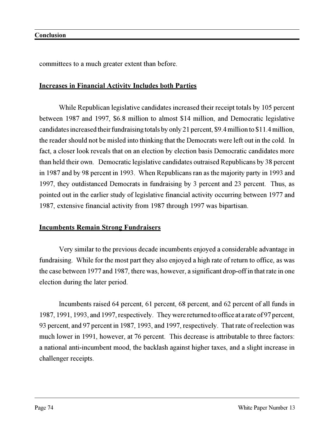committees to a much greater extent than before.

#### **Increases in Financial Activity Includes both Parties**

While Republican legislative candidates increased their receipt totals by 105 percent between 1987 and 1997, \$6.8 million to almost \$14 million, and Democratic legislative candidates increased their fundraising totals by only 21 percent, \$9.4 million to \$11.4 million, the reader should not be misled into thinking that the Democrats were left out in the cold. In fact, a closer look reveals that on an election by election basis Democratic candidates more than held their own. Democratic legislative candidates outraised Republicans by 38 percent in 1987 and by 98 percent in 1993. When Republicans ran as the majority party in 1993 and 1997, they outdistanced Democrats in fundraising by 3 percent and 23 percent. Thus, as pointed out in the earlier study of legislative financial activity occurring between 1977 and 1987, extensive financial activity from 1987 through 1997 was bipartisan.

#### **Incumbents Remain Strong Fundraisers**

Very similar to the previous decade incumbents enjoyed a considerable advantage in fundraising. While for the most part they also enjoyed a high rate of return to office, as was the case between 1977 and 1987, there was, however, a significant drop-off in that rate in one election during the later period.

Incumbents raised 64 percent, 61 percent, 68 percent, and 62 percent of all funds in 1987, 1991, 1993, and 1997, respectively. They were returned to office at a rate of 97 percent, 93 percent, and 97 percent in 1987, 1993, and 1997, respectively. That rate of reelection was much lower in 1991, however, at 76 percent. This decrease is attributable to three factors: a national anti-incumbent mood, the backlash against higher taxes, and a slight increase in challenger receipts.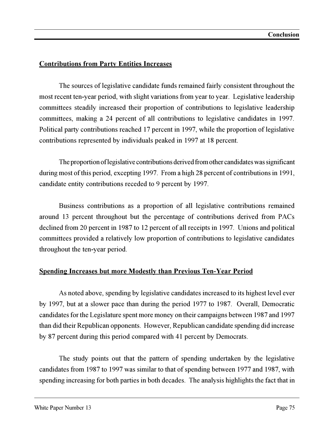#### **Contributions from Party Entities Increases**

The sources of legislative candidate funds remained fairly consistent throughout the most recent ten-year period, with slight variations from year to year. Legislative leadership committees steadily increased their proportion of contributions to legislative leadership committees, making a 24 percent of all contributions to legislative candidates in 1997. Political party contributions reached 17 percent in 1997, while the proportion of legislative contributions represented by individuals peaked in 1997 at 18 percent.

The proportion of legislative contributions derived from other candidates was significant during most of this period, excepting 1997. From a high 28 percent of contributions in 1991, candidate entity contributions receded to 9 percent by 1997.

Business contributions as a proportion of all legislative contributions remained around 13 percent throughout but the percentage of contributions derived from PACs declined from 20 percent in 1987 to 12 percent of all receipts in 1997. Unions and political committees provided a relatively low proportion of contributions to legislative candidates throughout the ten-year period.

#### **Spending Increases but more Modestly than Previous Ten-Year Period**

As noted above, spending by legislative candidates increased to its highest level ever by 1997, but at a slower pace than during the period 1977 to 1987. Overall, Democratic candidates for the Legislature spent more money on their campaigns between 1987 and 1997 than did their Republican opponents. However, Republican candidate spending did increase by 87 percent during this period compared with 41 percent by Democrats.

The study points out that the pattern of spending undertaken by the legislative candidates from 1987 to 1997 was similar to that of spending between 1977 and 1987, with spending increasing for both parties in both decades. The analysis highlights the fact that in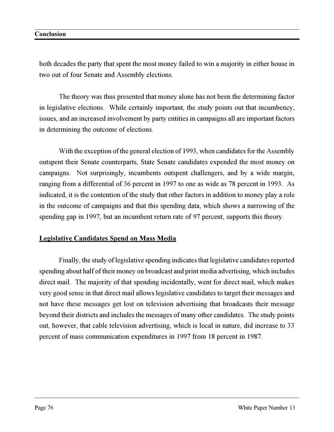both decades the party that spent the most money failed to win a majority in either house in two out of four Senate and Assembly elections.

The theory was thus presented that money alone has not been the determining factor in legislative elections. While certainly important, the study points out that incumbency, issues, and an increased involvement by party entities in campaigns all are important factors in determining the outcome of elections.

With the exception of the general election of 1993, when candidates for the Assembly outspent their Senate counterparts, State Senate candidates expended the most money on campaigns. Not surprisingly, incumbents outspent challengers, and by a wide margin, ranging from a differential of 36 percent in 1997 to one as wide as 78 percent in 1993. As indicated, it is the contention of the study that other factors in addition to money play a role in the outcome of campaigns and that this spending data, which shows a narrowing of the spending gap in 1997, but an incumbent return rate of 97 percent, supports this theory.

#### **Legislative Candidates Spend on Mass Media**

Finally, the study of legislative spending indicates that legislative candidates reported spending about half of their money on broadcast and print media advertising, which includes direct mail. The majority of that spending incidentally, went for direct mail, which makes very good sense in that direct mail allows legislative candidates to target their messages and not have these messages get lost on television advertising that broadcasts their message beyond their districts and includes the messages of many other candidates. The study points out, however, that cable television advertising, which is local in nature, did increase to 33 percent of mass communication expenditures in 1997 from 18 percent in 1987.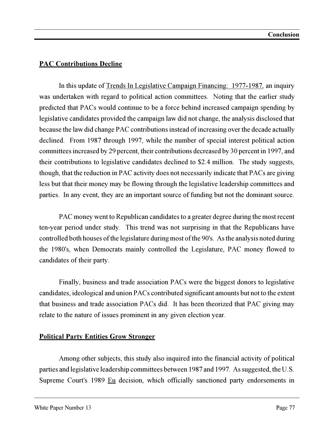#### **PAC Contributions Decline**

In this update of Trends In Legislative Campaign Financing: 1977-1987, an inquiry was undertaken with regard to political action committees. Noting that the earlier study predicted that PACs would continue to be a force behind increased campaign spending by legislative candidates provided the campaign law did not change, the analysis disclosed that because the law did change PAC contributions instead of increasing over the decade actually declined. From 1987 through 1997, while the number of special interest political action committees increased by 29 percent, their contributions decreased by 30 percent in 1997, and their contributions to legislative candidates declined to \$2.4 million. The study suggests, though, that the reduction in PAC activity does not necessarily indicate that PACs are giving less but that their money may be flowing through the legislative leadership committees and parties. In any event, they are an important source of funding but not the dominant source.

PAC money went to Republican candidates to a greater degree during the most recent ten-year period under study. This trend was not surprising in that the Republicans have controlled both houses of the legislature during most of the 90's. As the analysis noted during the 1980's, when Democrats mainly controlled the Legislature, PAC money flowed to candidates of their party.

Finally, business and trade association PACs were the biggest donors to legislative candidates, ideological and union PACs contributed significant amounts but not to the extent that business and trade association PACs did. It has been theorized that PAC giving may relate to the nature of issues prominent in any given election year.

#### **Political Party Entities Grow Stronger**

Among other subjects, this study also inquired into the financial activity of political parties and legislative leadership committees between 1987 and 1997. As suggested, the U.S. Supreme Court's 1989 Eu decision, which officially sanctioned party endorsements in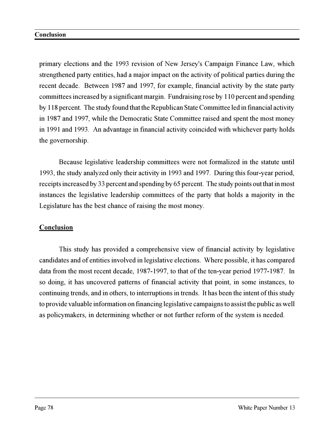primary elections and the 1993 revision of New Jersey's Campaign Finance Law, which strengthened party entities, had a major impact on the activity of political parties during the recent decade. Between 1987 and 1997, for example, financial activity by the state party committees increased by a significant margin. Fundraising rose by 110 percent and spending by 118 percent. The study found that the Republican State Committee led in financial activity in 1987 and 1997, while the Democratic State Committee raised and spent the most money in 1991 and 1993. An advantage in financial activity coincided with whichever party holds the governorship.

Because legislative leadership committees were not formalized in the statute until 1993, the study analyzed only their activity in 1993 and 1997. During this four-year period, receipts increased by 33 percent and spending by 65 percent. The study points out that in most instances the legislative leadership committees of the party that holds a majority in the Legislature has the best chance of raising the most money.

#### **Conclusion**

This study has provided a comprehensive view of financial activity by legislative candidates and of entities involved in legislative elections. Where possible, it has compared data from the most recent decade, 1987-1997, to that of the ten-year period 1977-1987. In so doing, it has uncovered patterns of financial activity that point, in some instances, to continuing trends, and in others, to interruptions in trends. It has been the intent of this study to provide valuable information on financing legislative campaigns to assist the public as well as policymakers, in determining whether or not further reform of the system is needed.